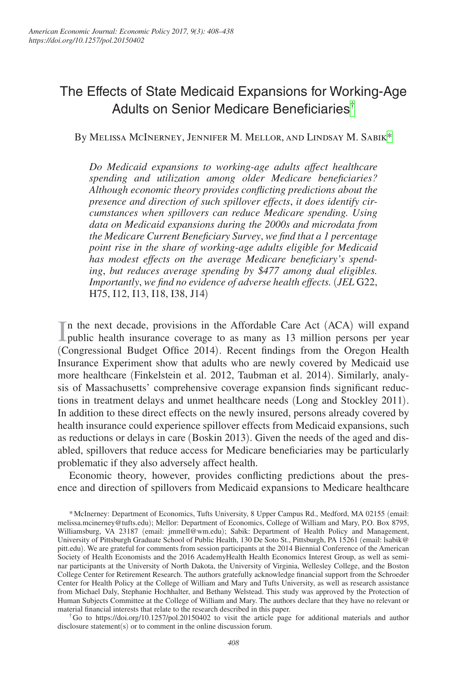# The Effects of State Medicaid Expansions for Working-Age Adults on Senior Medicare Beneficiaries[†](#page-0-0)

By Melissa McInerney, Jennifer M. Mellor, and Lindsay M. Sabik[\\*](#page-0-1)

*Do Medicaid expansions to working-age adults affect healthcare spending and utilization among older Medicare beneficiaries? Although economic theory provides conflicting predictions about the presence and direction of such spillover effects*, *it does identify circumstances when spillovers can reduce Medicare spending. Using data on Medicaid expansions during the 2000s and microdata from the Medicare Current Beneficiary Survey*, *we find that a 1 percentage point rise in the share of working-age adults eligible for Medicaid has modest effects on the average Medicare beneficiary's spending*, *but reduces average spending by \$477 among dual eligibles. Importantly*, *we find no evidence of adverse health effects.* (*JEL* G22, H75, I12, I13, I18, I38, J14)

In the next decade, provisions in the Affordable Care Act (ACA) will expand public health insurance coverage to as many as 13 million persons per year n the next decade, provisions in the Affordable Care Act (ACA) will expand (Congressional Budget Office 2014). Recent findings from the Oregon Health Insurance Experiment show that adults who are newly covered by Medicaid use more healthcare (Finkelstein et al. 2012, Taubman et al. 2014). Similarly, analysis of Massachusetts' comprehensive coverage expansion finds significant reductions in treatment delays and unmet healthcare needs (Long and Stockley 2011). In addition to these direct effects on the newly insured, persons already covered by health insurance could experience spillover effects from Medicaid expansions, such as reductions or delays in care (Boskin 2013). Given the needs of the aged and disabled, spillovers that reduce access for Medicare beneficiaries may be particularly problematic if they also adversely affect health.

Economic theory, however, provides conflicting predictions about the presence and direction of spillovers from Medicaid expansions to Medicare healthcare

<span id="page-0-1"></span>\*McInerney: Department of Economics, Tufts University, 8 Upper Campus Rd., Medford, MA 02155 (email: melissa.mcinerney@tufts.edu); Mellor: Department of Economics, College of William and Mary, P.O. Box 8795, Williamsburg, VA 23187 (email: jmmell@wm.edu); Sabik: Department of Health Policy and Management, University of Pittsburgh Graduate School of Public Health, 130 De Soto St., Pittsburgh, PA 15261 (email: lsabik@ pitt.edu). We are grateful for comments from session participants at the 2014 Biennial Conference of the American Society of Health Economists and the 2016 AcademyHealth Health Economics Interest Group, as well as seminar participants at the University of North Dakota, the University of Virginia, Wellesley College, and the Boston College Center for Retirement Research. The authors gratefully acknowledge financial support from the Schroeder Center for Health Policy at the College of William and Mary and Tufts University, as well as research assistance from Michael Daly, Stephanie Hochhalter, and Bethany Welstead. This study was approved by the Protection of Human Subjects Committee at the College of William and Mary. The authors declare that they have no relevant or material financial interests that relate to the research described in this paper.

<span id="page-0-0"></span>†Go to https://doi.org/10.1257/pol.20150402 to visit the article page for additional materials and author disclosure statement(s) or to comment in the online discussion forum.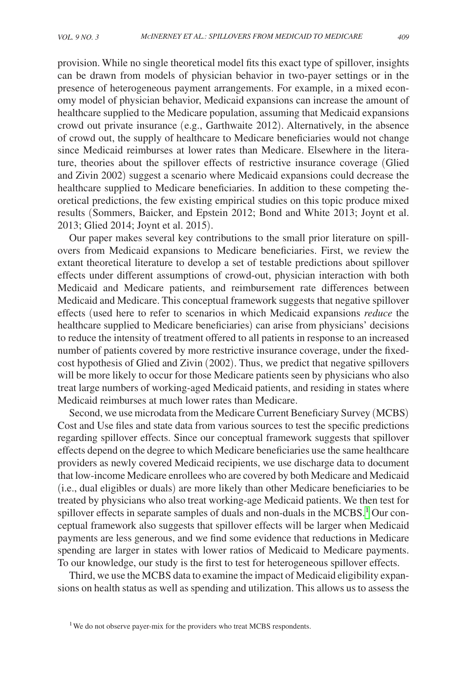provision. While no single theoretical model fits this exact type of spillover, insights can be drawn from models of physician behavior in two-payer settings or in the presence of heterogeneous payment arrangements. For example, in a mixed economy model of physician behavior, Medicaid expansions can increase the amount of healthcare supplied to the Medicare population, assuming that Medicaid expansions crowd out private insurance (e.g., Garthwaite 2012). Alternatively, in the absence of crowd out, the supply of healthcare to Medicare beneficiaries would not change since Medicaid reimburses at lower rates than Medicare. Elsewhere in the literature, theories about the spillover effects of restrictive insurance coverage (Glied and Zivin 2002) suggest a scenario where Medicaid expansions could decrease the healthcare supplied to Medicare beneficiaries. In addition to these competing theoretical predictions, the few existing empirical studies on this topic produce mixed results (Sommers, Baicker, and Epstein 2012; Bond and White 2013; Joynt et al. 2013; Glied 2014; Joynt et al. 2015).

Our paper makes several key contributions to the small prior literature on spillovers from Medicaid expansions to Medicare beneficiaries. First, we review the extant theoretical literature to develop a set of testable predictions about spillover effects under different assumptions of crowd-out, physician interaction with both Medicaid and Medicare patients, and reimbursement rate differences between Medicaid and Medicare. This conceptual framework suggests that negative spillover effects (used here to refer to scenarios in which Medicaid expansions *reduce* the healthcare supplied to Medicare beneficiaries) can arise from physicians' decisions to reduce the intensity of treatment offered to all patients in response to an increased number of patients covered by more restrictive insurance coverage, under the fixedcost hypothesis of Glied and Zivin (2002). Thus, we predict that negative spillovers will be more likely to occur for those Medicare patients seen by physicians who also treat large numbers of working-aged Medicaid patients, and residing in states where Medicaid reimburses at much lower rates than Medicare.

Second, we use microdata from the Medicare Current Beneficiary Survey (MCBS) Cost and Use files and state data from various sources to test the specific predictions regarding spillover effects. Since our conceptual framework suggests that spillover effects depend on the degree to which Medicare beneficiaries use the same healthcare providers as newly covered Medicaid recipients, we use discharge data to document that low-income Medicare enrollees who are covered by both Medicare and Medicaid (i.e., dual eligibles or duals) are more likely than other Medicare beneficiaries to be treated by physicians who also treat working-age Medicaid patients. We then test for spillover effects in separate samples of duals and non-duals in the MCBS.<sup>1</sup> Our conceptual framework also suggests that spillover effects will be larger when Medicaid payments are less generous, and we find some evidence that reductions in Medicare spending are larger in states with lower ratios of Medicaid to Medicare payments. To our knowledge, our study is the first to test for heterogeneous spillover effects.

Third, we use the MCBS data to examine the impact of Medicaid eligibility expansions on health status as well as spending and utilization. This allows us to assess the

<span id="page-1-0"></span><sup>&</sup>lt;sup>1</sup>We do not observe payer-mix for the providers who treat MCBS respondents.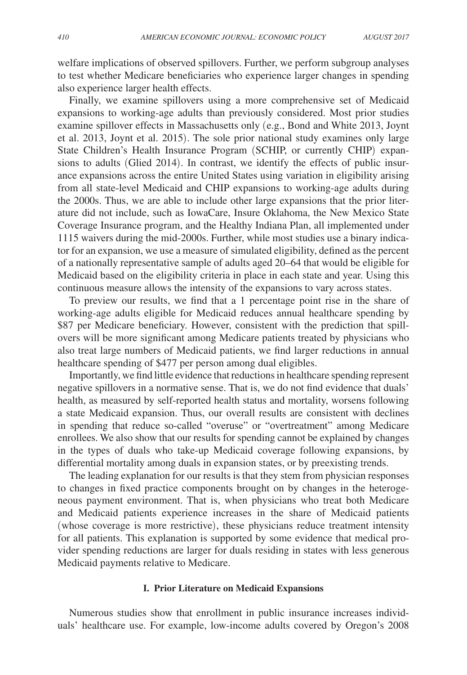welfare implications of observed spillovers. Further, we perform subgroup analyses to test whether Medicare beneficiaries who experience larger changes in spending also experience larger health effects.

Finally, we examine spillovers using a more comprehensive set of Medicaid expansions to working-age adults than previously considered. Most prior studies examine spillover effects in Massachusetts only (e.g., Bond and White 2013, Joynt et al. 2013, Joynt et al. 2015). The sole prior national study examines only large State Children's Health Insurance Program (SCHIP, or currently CHIP) expansions to adults (Glied 2014). In contrast, we identify the effects of public insurance expansions across the entire United States using variation in eligibility arising from all state-level Medicaid and CHIP expansions to working-age adults during the 2000s. Thus, we are able to include other large expansions that the prior literature did not include, such as IowaCare, Insure Oklahoma, the New Mexico State Coverage Insurance program, and the Healthy Indiana Plan, all implemented under 1115 waivers during the mid-2000s. Further, while most studies use a binary indicator for an expansion, we use a measure of simulated eligibility, defined as the percent of a nationally representative sample of adults aged 20–64 that would be eligible for Medicaid based on the eligibility criteria in place in each state and year. Using this continuous measure allows the intensity of the expansions to vary across states.

To preview our results, we find that a 1 percentage point rise in the share of working-age adults eligible for Medicaid reduces annual healthcare spending by \$87 per Medicare beneficiary. However, consistent with the prediction that spillovers will be more significant among Medicare patients treated by physicians who also treat large numbers of Medicaid patients, we find larger reductions in annual healthcare spending of \$477 per person among dual eligibles.

Importantly, we find little evidence that reductions in healthcare spending represent negative spillovers in a normative sense. That is, we do not find evidence that duals' health, as measured by self-reported health status and mortality, worsens following a state Medicaid expansion. Thus, our overall results are consistent with declines in spending that reduce so-called "overuse" or "overtreatment" among Medicare enrollees. We also show that our results for spending cannot be explained by changes in the types of duals who take-up Medicaid coverage following expansions, by differential mortality among duals in expansion states, or by preexisting trends.

The leading explanation for our results is that they stem from physician responses to changes in fixed practice components brought on by changes in the heterogeneous payment environment. That is, when physicians who treat both Medicare and Medicaid patients experience increases in the share of Medicaid patients (whose coverage is more restrictive), these physicians reduce treatment intensity for all patients. This explanation is supported by some evidence that medical provider spending reductions are larger for duals residing in states with less generous Medicaid payments relative to Medicare.

## **I. Prior Literature on Medicaid Expansions**

Numerous studies show that enrollment in public insurance increases individuals' healthcare use. For example, low-income adults covered by Oregon's 2008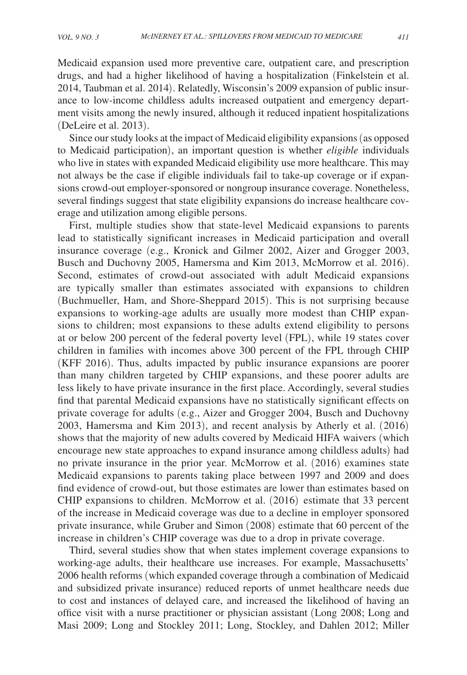Medicaid expansion used more preventive care, outpatient care, and prescription drugs, and had a higher likelihood of having a hospitalization (Finkelstein et al. 2014, Taubman et al. 2014). Relatedly, Wisconsin's 2009 expansion of public insurance to low-income childless adults increased outpatient and emergency department visits among the newly insured, although it reduced inpatient hospitalizations (DeLeire et al. 2013).

Since our study looks at the impact of Medicaid eligibility expansions (as opposed to Medicaid participation), an important question is whether *eligible* individuals who live in states with expanded Medicaid eligibility use more healthcare. This may not always be the case if eligible individuals fail to take-up coverage or if expansions crowd-out employer-sponsored or nongroup insurance coverage. Nonetheless, several findings suggest that state eligibility expansions do increase healthcare coverage and utilization among eligible persons.

First, multiple studies show that state-level Medicaid expansions to parents lead to statistically significant increases in Medicaid participation and overall insurance coverage (e.g., Kronick and Gilmer 2002, Aizer and Grogger 2003, Busch and Duchovny 2005, Hamersma and Kim 2013, McMorrow et al. 2016). Second, estimates of crowd-out associated with adult Medicaid expansions are typically smaller than estimates associated with expansions to children (Buchmueller, Ham, and Shore-Sheppard 2015). This is not surprising because expansions to working-age adults are usually more modest than CHIP expansions to children; most expansions to these adults extend eligibility to persons at or below 200 percent of the federal poverty level (FPL), while 19 states cover children in families with incomes above 300 percent of the FPL through CHIP (KFF 2016). Thus, adults impacted by public insurance expansions are poorer than many children targeted by CHIP expansions, and these poorer adults are less likely to have private insurance in the first place. Accordingly, several studies find that parental Medicaid expansions have no statistically significant effects on private coverage for adults (e.g., Aizer and Grogger 2004, Busch and Duchovny 2003, Hamersma and Kim 2013), and recent analysis by Atherly et al. (2016) shows that the majority of new adults covered by Medicaid HIFA waivers (which encourage new state approaches to expand insurance among childless adults) had no private insurance in the prior year. McMorrow et al. (2016) examines state Medicaid expansions to parents taking place between 1997 and 2009 and does find evidence of crowd-out, but those estimates are lower than estimates based on CHIP expansions to children. McMorrow et al. (2016) estimate that 33 percent of the increase in Medicaid coverage was due to a decline in employer sponsored private insurance, while Gruber and Simon (2008) estimate that 60 percent of the increase in children's CHIP coverage was due to a drop in private coverage.

Third, several studies show that when states implement coverage expansions to working-age adults, their healthcare use increases. For example, Massachusetts' 2006 health reforms (which expanded coverage through a combination of Medicaid and subsidized private insurance) reduced reports of unmet healthcare needs due to cost and instances of delayed care, and increased the likelihood of having an office visit with a nurse practitioner or physician assistant (Long 2008; Long and Masi 2009; Long and Stockley 2011; Long, Stockley, and Dahlen 2012; Miller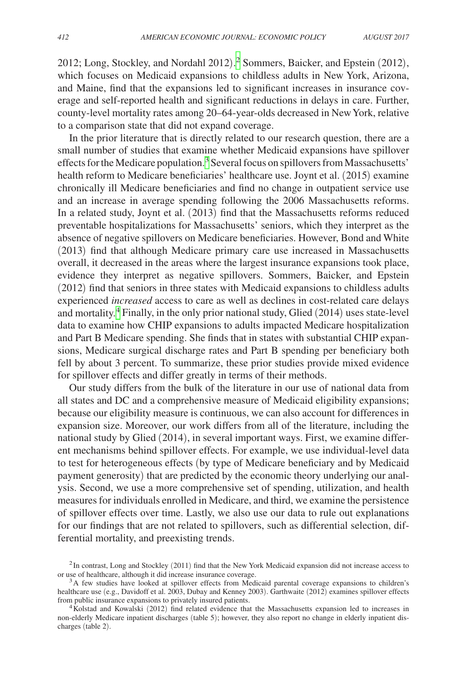2012; Long, Stockley, and Nordahl 2012). [2](#page-4-0) Sommers, Baicker, and Epstein (2012), which focuses on Medicaid expansions to childless adults in New York, Arizona, and Maine, find that the expansions led to significant increases in insurance coverage and self-reported health and significant reductions in delays in care. Further, county-level mortality rates among 20–64-year-olds decreased in New York, relative to a comparison state that did not expand coverage.

In the prior literature that is directly related to our research question, there are a small number of studies that examine whether Medicaid expansions have spillover effects for the Medicare population.<sup>[3](#page-4-1)</sup> Several focus on spillovers from Massachusetts' health reform to Medicare beneficiaries' healthcare use. Joynt et al. (2015) examine chronically ill Medicare beneficiaries and find no change in outpatient service use and an increase in average spending following the 2006 Massachusetts reforms. In a related study, Joynt et al. (2013) find that the Massachusetts reforms reduced preventable hospitalizations for Massachusetts' seniors, which they interpret as the absence of negative spillovers on Medicare beneficiaries. However, Bond and White (2013) find that although Medicare primary care use increased in Massachusetts overall, it decreased in the areas where the largest insurance expansions took place, evidence they interpret as negative spillovers. Sommers, Baicker, and Epstein (2012) find that seniors in three states with Medicaid expansions to childless adults experienced *increased* access to care as well as declines in cost-related care delays and mortality.[4](#page-4-2) Finally, in the only prior national study, Glied (2014) uses state-level data to examine how CHIP expansions to adults impacted Medicare hospitalization and Part B Medicare spending. She finds that in states with substantial CHIP expansions, Medicare surgical discharge rates and Part B spending per beneficiary both fell by about 3 percent. To summarize, these prior studies provide mixed evidence for spillover effects and differ greatly in terms of their methods.

Our study differs from the bulk of the literature in our use of national data from all states and DC and a comprehensive measure of Medicaid eligibility expansions; because our eligibility measure is continuous, we can also account for differences in expansion size. Moreover, our work differs from all of the literature, including the national study by Glied (2014), in several important ways. First, we examine different mechanisms behind spillover effects. For example, we use individual-level data to test for heterogeneous effects (by type of Medicare beneficiary and by Medicaid payment generosity) that are predicted by the economic theory underlying our analysis. Second, we use a more comprehensive set of spending, utilization, and health measures for individuals enrolled in Medicare, and third, we examine the persistence of spillover effects over time. Lastly, we also use our data to rule out explanations for our findings that are not related to spillovers, such as differential selection, differential mortality, and preexisting trends.

<span id="page-4-0"></span> $2$ In contrast, Long and Stockley (2011) find that the New York Medicaid expansion did not increase access to or use of healthcare, although it did increase insurance coverage.

<span id="page-4-1"></span><sup>&</sup>lt;sup>3</sup>A few studies have looked at spillover effects from Medicaid parental coverage expansions to children's healthcare use (e.g., Davidoff et al. 2003, Dubay and Kenney 2003). Garthwaite (2012) examines spillover effects from public insurance expansions to privately insured patients.

<span id="page-4-2"></span> $4$ Kolstad and Kowalski (2012) find related evidence that the Massachusetts expansion led to increases in non-elderly Medicare inpatient discharges (table 5); however, they also report no change in elderly inpatient discharges (table 2).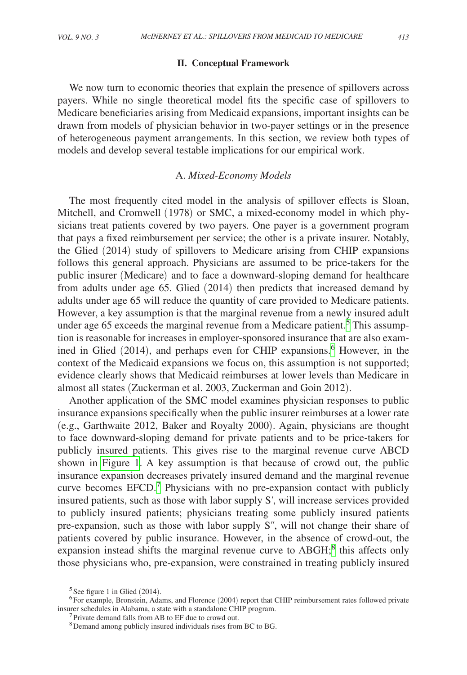## **II. Conceptual Framework**

We now turn to economic theories that explain the presence of spillovers across payers. While no single theoretical model fits the specific case of spillovers to Medicare beneficiaries arising from Medicaid expansions, important insights can be drawn from models of physician behavior in two-payer settings or in the presence of heterogeneous payment arrangements. In this section, we review both types of models and develop several testable implications for our empirical work.

## A. *Mixed-Economy Models*

The most frequently cited model in the analysis of spillover effects is Sloan, Mitchell, and Cromwell (1978) or SMC, a mixed-economy model in which physicians treat patients covered by two payers. One payer is a government program that pays a fixed reimbursement per service; the other is a private insurer. Notably, the Glied (2014) study of spillovers to Medicare arising from CHIP expansions follows this general approach. Physicians are assumed to be price-takers for the public insurer (Medicare) and to face a downward-sloping demand for healthcare from adults under age 65. Glied (2014) then predicts that increased demand by adults under age 65 will reduce the quantity of care provided to Medicare patients. However, a key assumption is that the marginal revenue from a newly insured adult under age 6[5](#page-5-0) exceeds the marginal revenue from a Medicare patient.<sup>5</sup> This assumption is reasonable for increases in employer-sponsored insurance that are also exam-ined in Glied (2014), and perhaps even for CHIP expansions.<sup>[6](#page-5-1)</sup> However, in the context of the Medicaid expansions we focus on, this assumption is not supported; evidence clearly shows that Medicaid reimburses at lower levels than Medicare in almost all states (Zuckerman et al. 2003, Zuckerman and Goin 2012).

Another application of the SMC model examines physician responses to public insurance expansions specifically when the public insurer reimburses at a lower rate (e.g., Garthwaite 2012, Baker and Royalty 2000). Again, physicians are thought to face downward-sloping demand for private patients and to be price-takers for publicly insured patients. This gives rise to the marginal revenue curve ABCD shown in [Figure 1](#page-6-0). A key assumption is that because of crowd out, the public insurance expansion decreases privately insured demand and the marginal revenue curve becomes EFCD.<sup>[7](#page-5-2)</sup> Physicians with no pre-expansion contact with publicly insured patients, such as those with labor supply S′, will increase services provided to publicly insured patients; physicians treating some publicly insured patients pre-expansion, such as those with labor supply S″, will not change their share of patients covered by public insurance. However, in the absence of crowd-out, the expansion instead shifts the marginal revenue curve to ABGH;<sup>[8](#page-5-3)</sup> this affects only those physicians who, pre-expansion, were constrained in treating publicly insured

<span id="page-5-1"></span><span id="page-5-0"></span>

<sup>&</sup>lt;sup>5</sup>See figure 1 in Glied (2014).<br><sup>6</sup>For example, Bronstein, Adams, and Florence (2004) report that CHIP reimbursement rates followed private insurer schedules in Alabama, a state with a standalone CHIP program. 7Private demand falls from AB to EF due to crowd out.

<span id="page-5-2"></span>

<span id="page-5-3"></span><sup>8</sup>Demand among publicly insured individuals rises from BC to BG.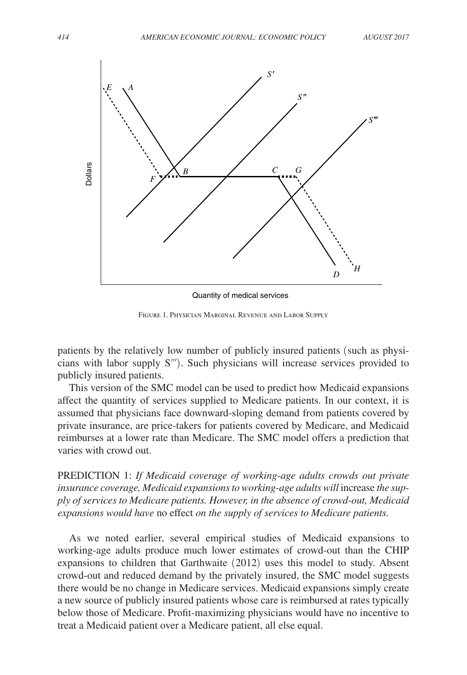<span id="page-6-0"></span>

Quantity of medical services

Figure 1. Physician Marginal Revenue and Labor Supply

patients by the relatively low number of publicly insured patients (such as physicians with labor supply S‴). Such physicians will increase services provided to publicly insured patients.

This version of the SMC model can be used to predict how Medicaid expansions affect the quantity of services supplied to Medicare patients. In our context, it is assumed that physicians face downward-sloping demand from patients covered by private insurance, are price-takers for patients covered by Medicare, and Medicaid reimburses at a lower rate than Medicare. The SMC model offers a prediction that varies with crowd out.

PREDICTION 1: *If Medicaid coverage of working-age adults crowds out private* insurance coverage, Medicaid expansions to working-age adults will increase the sup*ply of services to Medicare patients. However, in the absence of crowd-out, Medicaid expansions would have* no effect *on the supply of services to Medicare patients.*

As we noted earlier, several empirical studies of Medicaid expansions to working-age adults produce much lower estimates of crowd-out than the CHIP expansions to children that Garthwaite (2012) uses this model to study. Absent crowd-out and reduced demand by the privately insured, the SMC model suggests there would be no change in Medicare services. Medicaid expansions simply create a new source of publicly insured patients whose care is reimbursed at rates typically below those of Medicare. Profit-maximizing physicians would have no incentive to treat a Medicaid patient over a Medicare patient, all else equal.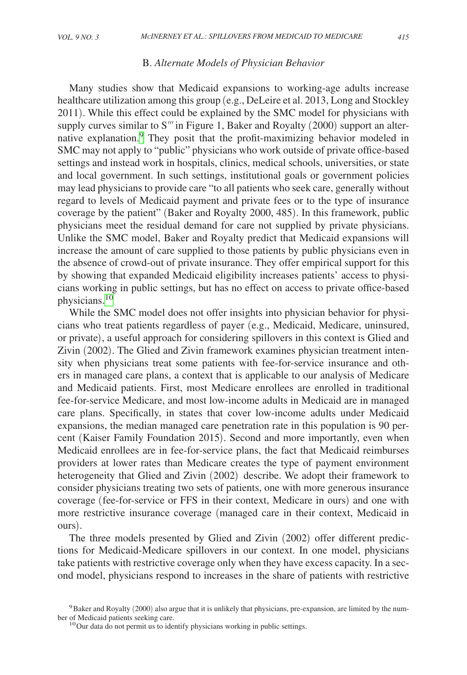#### B. *Alternate Models of Physician Behavior*

Many studies show that Medicaid expansions to working-age adults increase healthcare utilization among this group (e.g., DeLeire et al. 2013, Long and Stockley 2011). While this effect could be explained by the SMC model for physicians with supply curves similar to S<sup>'''</sup> in Figure 1, Baker and Royalty (2000) support an alternative explanation.[9](#page-7-0) They posit that the profit-maximizing behavior modeled in SMC may not apply to "public" physicians who work outside of private office-based settings and instead work in hospitals, clinics, medical schools, universities, or state and local government. In such settings, institutional goals or government policies may lead physicians to provide care "to all patients who seek care, generally without regard to levels of Medicaid payment and private fees or to the type of insurance coverage by the patient" (Baker and Royalty 2000, 485). In this framework, public physicians meet the residual demand for care not supplied by private physicians. Unlike the SMC model, Baker and Royalty predict that Medicaid expansions will increase the amount of care supplied to those patients by public physicians even in the absence of crowd-out of private insurance. They offer empirical support for this by showing that expanded Medicaid eligibility increases patients' access to physicians working in public settings, but has no effect on access to private office-based physicians[.10](#page-7-1)

While the SMC model does not offer insights into physician behavior for physicians who treat patients regardless of payer (e.g., Medicaid, Medicare, uninsured, or private), a useful approach for considering spillovers in this context is Glied and Zivin (2002). The Glied and Zivin framework examines physician treatment intensity when physicians treat some patients with fee-for-service insurance and others in managed care plans, a context that is applicable to our analysis of Medicare and Medicaid patients. First, most Medicare enrollees are enrolled in traditional fee-for-service Medicare, and most low-income adults in Medicaid are in managed care plans. Specifically, in states that cover low-income adults under Medicaid expansions, the median managed care penetration rate in this population is 90 percent (Kaiser Family Foundation 2015). Second and more importantly, even when Medicaid enrollees are in fee-for-service plans, the fact that Medicaid reimburses providers at lower rates than Medicare creates the type of payment environment heterogeneity that Glied and Zivin (2002) describe. We adopt their framework to consider physicians treating two sets of patients, one with more generous insurance coverage (fee-for-service or FFS in their context, Medicare in ours) and one with more restrictive insurance coverage (managed care in their context, Medicaid in ours).

The three models presented by Glied and Zivin (2002) offer different predictions for Medicaid-Medicare spillovers in our context. In one model, physicians take patients with restrictive coverage only when they have excess capacity. In a second model, physicians respond to increases in the share of patients with restrictive

<span id="page-7-0"></span><sup>&</sup>lt;sup>9</sup>Baker and Royalty (2000) also argue that it is unlikely that physicians, pre-expansion, are limited by the num-<br>ber of Medicaid patients seeking care.

<span id="page-7-1"></span> $\rm ^{10}$ Our data do not permit us to identify physicians working in public settings.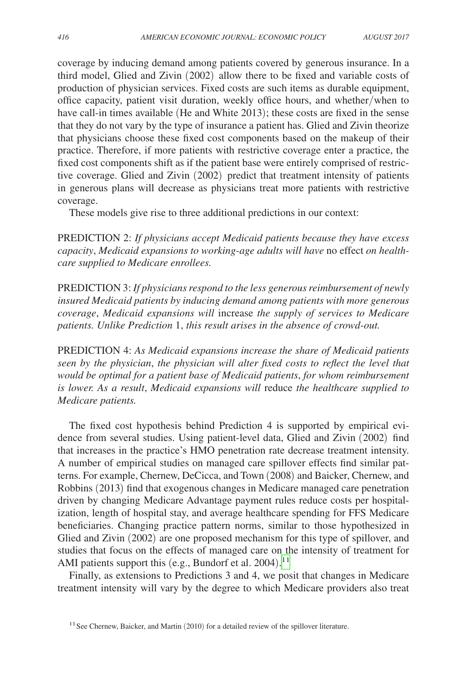coverage by inducing demand among patients covered by generous insurance. In a third model, Glied and Zivin (2002) allow there to be fixed and variable costs of production of physician services. Fixed costs are such items as durable equipment, office capacity, patient visit duration, weekly office hours, and whether/when to have call-in times available (He and White 2013); these costs are fixed in the sense that they do not vary by the type of insurance a patient has. Glied and Zivin theorize that physicians choose these fixed cost components based on the makeup of their practice. Therefore, if more patients with restrictive coverage enter a practice, the fixed cost components shift as if the patient base were entirely comprised of restrictive coverage. Glied and Zivin (2002) predict that treatment intensity of patients in generous plans will decrease as physicians treat more patients with restrictive coverage.

These models give rise to three additional predictions in our context:

PREDICTION 2: *If physicians accept Medicaid patients because they have excess capacity*, *Medicaid expansions to working-age adults will have* no effect *on healthcare supplied to Medicare enrollees.*

PREDICTION 3: *If physicians respond to the less generous reimbursement of newly insured Medicaid patients by inducing demand among patients with more generous coverage*, *Medicaid expansions will* increase *the supply of services to Medicare patients. Unlike Prediction* 1, *this result arises in the absence of crowd-out.*

PREDICTION 4: As Medicaid expansions increase the share of Medicaid patients *seen by the physician*, *the physician will alter fixed costs to reflect the level that would be optimal for a patient base of Medicaid patients*, *for whom reimbursement is lower. As a result*, *Medicaid expansions will* reduce *the healthcare supplied to Medicare patients.*

The fixed cost hypothesis behind Prediction 4 is supported by empirical evidence from several studies. Using patient-level data, Glied and Zivin (2002) find that increases in the practice's HMO penetration rate decrease treatment intensity. A number of empirical studies on managed care spillover effects find similar patterns. For example, Chernew, DeCicca, and Town (2008) and Baicker, Chernew, and Robbins (2013) find that exogenous changes in Medicare managed care penetration driven by changing Medicare Advantage payment rules reduce costs per hospitalization, length of hospital stay, and average healthcare spending for FFS Medicare beneficiaries. Changing practice pattern norms, similar to those hypothesized in Glied and Zivin (2002) are one proposed mechanism for this type of spillover, and studies that focus on the effects of managed care on the intensity of treatment for AMI patients support this (e.g., Bundorf et al. 2004).<sup>[11](#page-8-0)</sup>

Finally, as extensions to Predictions 3 and 4, we posit that changes in Medicare treatment intensity will vary by the degree to which Medicare providers also treat

<span id="page-8-0"></span> $11$  See Chernew, Baicker, and Martin (2010) for a detailed review of the spillover literature.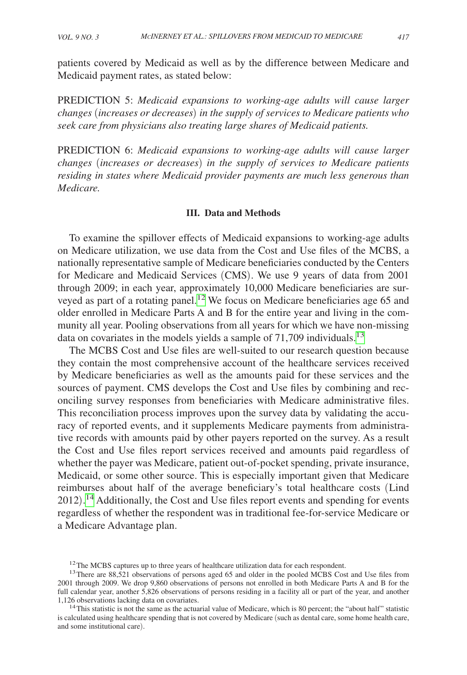patients covered by Medicaid as well as by the difference between Medicare and Medicaid payment rates, as stated below:

PREDICTION 5: *Medicaid expansions to working-age adults will cause larger changes* (*increases or decreases*) *in the supply of services to Medicare patients who seek care from physicians also treating large shares of Medicaid patients.*

PREDICTION 6: *Medicaid expansions to working-age adults will cause larger changes* (*increases or decreases*) *in the supply of services to Medicare patients residing in states where Medicaid provider payments are much less generous than Medicare.*

#### **III. Data and Methods**

To examine the spillover effects of Medicaid expansions to working-age adults on Medicare utilization, we use data from the Cost and Use files of the MCBS, a nationally representative sample of Medicare beneficiaries conducted by the Centers for Medicare and Medicaid Services (CMS). We use 9 years of data from 2001 through 2009; in each year, approximately 10,000 Medicare beneficiaries are surveyed as part of a rotating panel.[12](#page-9-0) We focus on Medicare beneficiaries age 65 and older enrolled in Medicare Parts A and B for the entire year and living in the community all year. Pooling observations from all years for which we have non-missing data on covariates in the models yields a sample of  $71,709$  individuals.<sup>[13](#page-9-1)</sup>

The MCBS Cost and Use files are well-suited to our research question because they contain the most comprehensive account of the healthcare services received by Medicare beneficiaries as well as the amounts paid for these services and the sources of payment. CMS develops the Cost and Use files by combining and reconciling survey responses from beneficiaries with Medicare administrative files. This reconciliation process improves upon the survey data by validating the accuracy of reported events, and it supplements Medicare payments from administrative records with amounts paid by other payers reported on the survey. As a result the Cost and Use files report services received and amounts paid regardless of whether the payer was Medicare, patient out-of-pocket spending, private insurance, Medicaid, or some other source. This is especially important given that Medicare reimburses about half of the average beneficiary's total healthcare costs (Lind 2012). [14](#page-9-2) Additionally, the Cost and Use files report events and spending for events regardless of whether the respondent was in traditional fee-for-service Medicare or a Medicare Advantage plan.

<span id="page-9-1"></span><span id="page-9-0"></span>

<sup>&</sup>lt;sup>12</sup>The MCBS captures up to three years of healthcare utilization data for each respondent.<br><sup>13</sup>There are 88,521 observations of persons aged 65 and older in the pooled MCBS Cost and Use files from 2001 through 2009. We drop 9,860 observations of persons not enrolled in both Medicare Parts A and B for the full calendar year, another 5,826 observations of persons residing in a facility all or part of the year, and another 1,126 observations lacking data on covariates.<br><sup>14</sup>This statistic is not the same as the actuarial value of Medicare, which is 80 percent; the "about half" statistic

<span id="page-9-2"></span>is calculated using healthcare spending that is not covered by Medicare (such as dental care, some home health care, and some institutional care).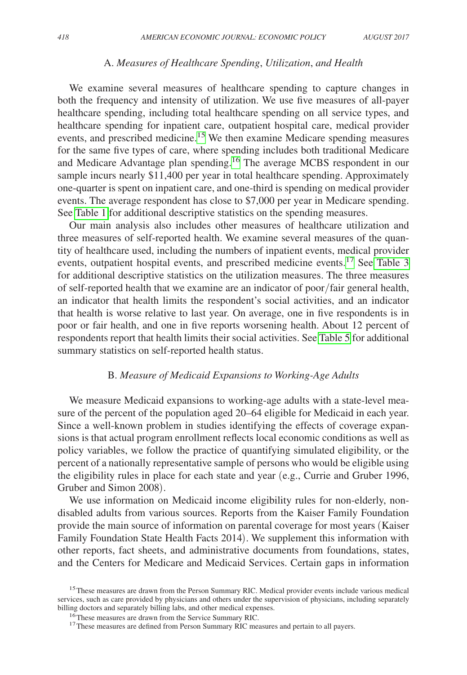# A. *Measures of Healthcare Spending*, *Utilization*, *and Health*

We examine several measures of healthcare spending to capture changes in both the frequency and intensity of utilization. We use five measures of all-payer healthcare spending, including total healthcare spending on all service types, and healthcare spending for inpatient care, outpatient hospital care, medical provider events, and prescribed medicine.[15](#page-10-0) We then examine Medicare spending measures for the same five types of care, where spending includes both traditional Medicare and Medicare Advantage plan spending[.16](#page-10-1) The average MCBS respondent in our sample incurs nearly \$11,400 per year in total healthcare spending. Approximately one-quarter is spent on inpatient care, and one-third is spending on medical provider events. The average respondent has close to \$7,000 per year in Medicare spending. See [Table 1](#page-15-0) for additional descriptive statistics on the spending measures.

Our main analysis also includes other measures of healthcare utilization and three measures of self-reported health. We examine several measures of the quantity of healthcare used, including the numbers of inpatient events, medical provider events, outpatient hospital events, and prescribed medicine events.<sup>17</sup> See Table 3 for additional descriptive statistics on the utilization measures. The three measures of self-reported health that we examine are an indicator of poor/fair general health, an indicator that health limits the respondent's social activities, and an indicator that health is worse relative to last year. On average, one in five respondents is in poor or fair health, and one in five reports worsening health. About 12 percent of respondents report that health limits their social activities. See [Table 5](#page-20-0) for additional summary statistics on self-reported health status.

# B. *Measure of Medicaid Expansions to Working-Age Adults*

We measure Medicaid expansions to working-age adults with a state-level measure of the percent of the population aged 20–64 eligible for Medicaid in each year. Since a well-known problem in studies identifying the effects of coverage expansions is that actual program enrollment reflects local economic conditions as well as policy variables, we follow the practice of quantifying simulated eligibility, or the percent of a nationally representative sample of persons who would be eligible using the eligibility rules in place for each state and year (e.g., Currie and Gruber 1996, Gruber and Simon 2008).

We use information on Medicaid income eligibility rules for non-elderly, nondisabled adults from various sources. Reports from the Kaiser Family Foundation provide the main source of information on parental coverage for most years (Kaiser Family Foundation State Health Facts 2014). We supplement this information with other reports, fact sheets, and administrative documents from foundations, states, and the Centers for Medicare and Medicaid Services. Certain gaps in information

<span id="page-10-0"></span><sup>&</sup>lt;sup>15</sup>These measures are drawn from the Person Summary RIC. Medical provider events include various medical services, such as care provided by physicians and others under the supervision of physicians, including separately billing doctors and separately billing labs, and other medical expenses.<br><sup>16</sup>These measures are drawn from the Service Summary RIC.<br><sup>17</sup>These measures are defined from Person Summary RIC measures and pertain to all payers.

<span id="page-10-1"></span>

<span id="page-10-2"></span>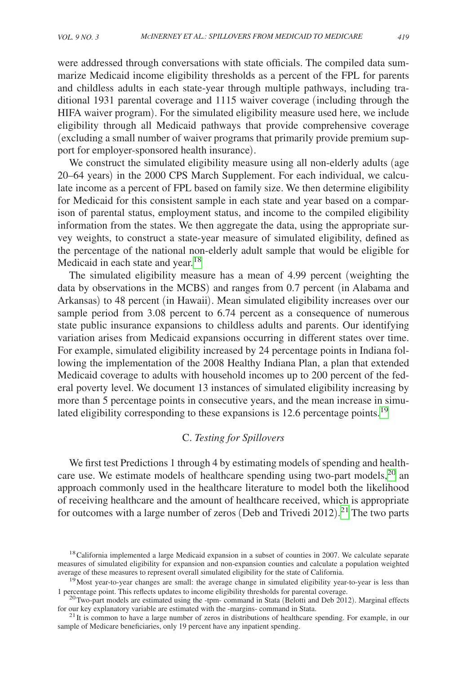were addressed through conversations with state officials. The compiled data summarize Medicaid income eligibility thresholds as a percent of the FPL for parents and childless adults in each state-year through multiple pathways, including traditional 1931 parental coverage and 1115 waiver coverage (including through the HIFA waiver program). For the simulated eligibility measure used here, we include eligibility through all Medicaid pathways that provide comprehensive coverage (excluding a small number of waiver programs that primarily provide premium support for employer-sponsored health insurance).

We construct the simulated eligibility measure using all non-elderly adults (age 20–64 years) in the 2000 CPS March Supplement. For each individual, we calculate income as a percent of FPL based on family size. We then determine eligibility for Medicaid for this consistent sample in each state and year based on a comparison of parental status, employment status, and income to the compiled eligibility information from the states. We then aggregate the data, using the appropriate survey weights, to construct a state-year measure of simulated eligibility, defined as the percentage of the national non-elderly adult sample that would be eligible for Medicaid in each state and year.<sup>[18](#page-11-0)</sup>

The simulated eligibility measure has a mean of 4.99 percent (weighting the data by observations in the MCBS) and ranges from 0.7 percent (in Alabama and Arkansas) to 48 percent (in Hawaii). Mean simulated eligibility increases over our sample period from 3.08 percent to 6.74 percent as a consequence of numerous state public insurance expansions to childless adults and parents. Our identifying variation arises from Medicaid expansions occurring in different states over time. For example, simulated eligibility increased by 24 percentage points in Indiana following the implementation of the 2008 Healthy Indiana Plan, a plan that extended Medicaid coverage to adults with household incomes up to 200 percent of the federal poverty level. We document 13 instances of simulated eligibility increasing by more than 5 percentage points in consecutive years, and the mean increase in simu-lated eligibility corresponding to these expansions is 12.6 percentage points.<sup>[19](#page-11-1)</sup>

# C. *Testing for Spillovers*

We first test Predictions 1 through 4 by estimating models of spending and healthcare use. We estimate models of healthcare spending using two-part models,<sup>20</sup> an approach commonly used in the healthcare literature to model both the likelihood of receiving healthcare and the amount of healthcare received, which is appropriate for outcomes with a large number of zeros (Deb and Trivedi 2012). [21](#page-11-3) The two parts

<span id="page-11-0"></span><sup>&</sup>lt;sup>18</sup>California implemented a large Medicaid expansion in a subset of counties in 2007. We calculate separate measures of simulated eligibility for expansion and non-expansion counties and calculate a population weighted

<span id="page-11-1"></span><sup>&</sup>lt;sup>19</sup> Most year-to-year changes are small: the average change in simulated eligibility year-to-year is less than

<span id="page-11-2"></span><sup>1</sup> percentage point. This reflects updates to income eligibility thresholds for parental coverage.<br><sup>20</sup>Two-part models are estimated using the -tpm- command in Stata (Belotti and Deb 2012). Marginal effects for our key expl

<span id="page-11-3"></span> $21$  It is common to have a large number of zeros in distributions of healthcare spending. For example, in our sample of Medicare beneficiaries, only 19 percent have any inpatient spending.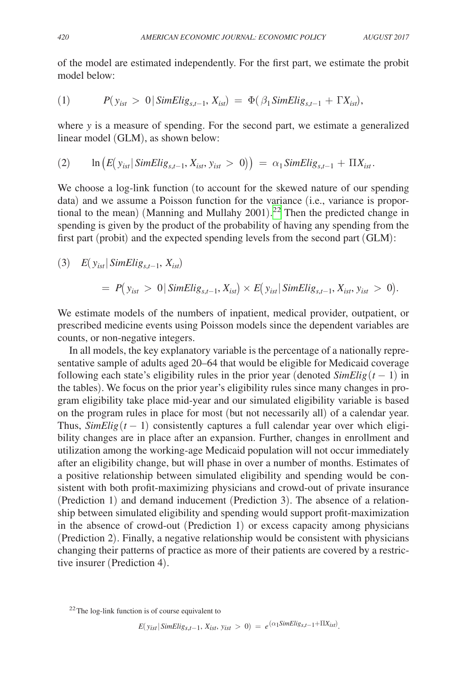of the model are estimated independently. For the first part, we estimate the probit model below:

$$
(1) \tP(y_{ist} > 0 | SimElig_{s,t-1}, X_{ist}) = \Phi(\beta_1 SimElig_{s,t-1} + \Gamma X_{ist}),
$$

where *y* is a measure of spending. For the second part, we estimate a generalized linear model (GLM), as shown below:

$$
(2) \qquad \ln\left(E\left(y_{ist}|\textit{SimElig}_{s,t-1},X_{ist},y_{ist}>0\right)\right) = \alpha_1\textit{SimElig}_{s,t-1} + \Pi X_{ist}.
$$

We choose a log-link function (to account for the skewed nature of our spending data) and we assume a Poisson function for the variance (i.e., variance is proportional to the mean) (Manning and Mullahy 2001). [22](#page-12-0) Then the predicted change in spending is given by the product of the probability of having any spending from the first part (probit) and the expected spending levels from the second part (GLM):

(3) 
$$
E(y_{ist} | SimElig_{s,t-1}, X_{ist})
$$
  
=  $P(y_{ist} > 0 | SimElig_{s,t-1}, X_{ist}) \times E(y_{ist} | SimElig_{s,t-1}, X_{ist}, y_{ist} > 0).$ 

We estimate models of the numbers of inpatient, medical provider, outpatient, or prescribed medicine events using Poisson models since the dependent variables are counts, or non-negative integers.

In all models, the key explanatory variable is the percentage of a nationally representative sample of adults aged 20–64 that would be eligible for Medicaid coverage following each state's eligibility rules in the prior year (denoted  $SimElig(t-1)$  in the tables). We focus on the prior year's eligibility rules since many changes in program eligibility take place mid-year and our simulated eligibility variable is based on the program rules in place for most (but not necessarily all) of a calendar year. Thus,  $SimElig(t - 1)$  consistently captures a full calendar year over which eligibility changes are in place after an expansion. Further, changes in enrollment and utilization among the working-age Medicaid population will not occur immediately after an eligibility change, but will phase in over a number of months. Estimates of a positive relationship between simulated eligibility and spending would be consistent with both profit-maximizing physicians and crowd-out of private insurance (Prediction 1) and demand inducement (Prediction 3). The absence of a relationship between simulated eligibility and spending would support profit-maximization in the absence of crowd-out (Prediction 1) or excess capacity among physicians (Prediction 2). Finally, a negative relationship would be consistent with physicians changing their patterns of practice as more of their patients are covered by a restrictive insurer (Prediction 4).

 $E(y_{ist} | SimElig_{s,t-1}, X_{ist}, y_{ist} > 0) = e^{(\alpha_1 SimElig_{s,t-1} + \Pi X_{ist})}$ .

<span id="page-12-0"></span><sup>22</sup>The log-link function is of course equivalent to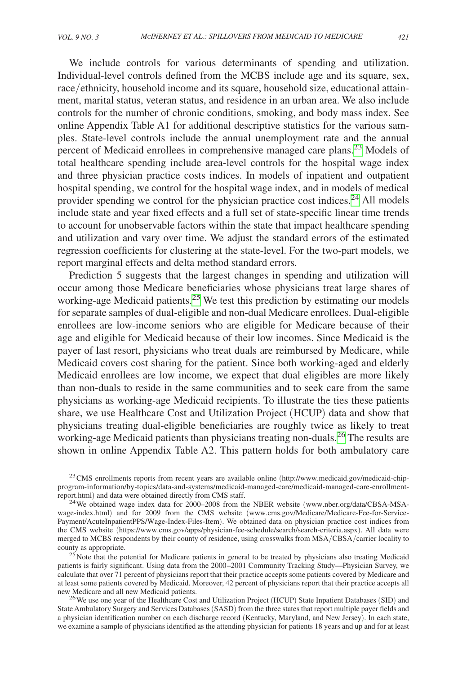We include controls for various determinants of spending and utilization. Individual-level controls defined from the MCBS include age and its square, sex, race/ethnicity, household income and its square, household size, educational attainment, marital status, veteran status, and residence in an urban area. We also include controls for the number of chronic conditions, smoking, and body mass index. See online Appendix Table A1 for additional descriptive statistics for the various samples. State-level controls include the annual unemployment rate and the annual percent of Medicaid enrollees in comprehensive managed care plans.<sup>23</sup> Models of total healthcare spending include area-level controls for the hospital wage index and three physician practice costs indices. In models of inpatient and outpatient hospital spending, we control for the hospital wage index, and in models of medical provider spending we control for the physician practice cost indices.<sup>[24](#page-13-1)</sup> All models include state and year fixed effects and a full set of state-specific linear time trends to account for unobservable factors within the state that impact healthcare spending and utilization and vary over time. We adjust the standard errors of the estimated regression coefficients for clustering at the state-level. For the two-part models, we report marginal effects and delta method standard errors.

Prediction 5 suggests that the largest changes in spending and utilization will occur among those Medicare beneficiaries whose physicians treat large shares of working-age Medicaid patients.<sup>25</sup> We test this prediction by estimating our models for separate samples of dual-eligible and non-dual Medicare enrollees. Dual-eligible enrollees are low-income seniors who are eligible for Medicare because of their age and eligible for Medicaid because of their low incomes. Since Medicaid is the payer of last resort, physicians who treat duals are reimbursed by Medicare, while Medicaid covers cost sharing for the patient. Since both working-aged and elderly Medicaid enrollees are low income, we expect that dual eligibles are more likely than non-duals to reside in the same communities and to seek care from the same physicians as working-age Medicaid recipients. To illustrate the ties these patients share, we use Healthcare Cost and Utilization Project (HCUP) data and show that physicians treating dual-eligible beneficiaries are roughly twice as likely to treat working-age Medicaid patients than physicians treating non-duals.<sup>26</sup> The results are shown in online Appendix Table A2. This pattern holds for both ambulatory care

<span id="page-13-0"></span><sup>23</sup> CMS enrollments reports from recent years are available online (http://www.medicaid.gov/medicaid-chip[program-information/by-topics/data-and-systems/medicaid-managed-care/medicaid-managed-care-enrollment](http://www.medicaid.gov/medicaid-chip-program-information/by-topics/data-and-systems/medicaid-managed-care/medicaid-managed-care-enrollment-report.html)report.html) and data were obtained directly from CMS staff.<br><sup>24</sup>We obtained wage index data for 2000–2008 from the NBER website (www.nber.org/data/CBSA-MSA-

<span id="page-13-2"></span> $25$  Note that the potential for Medicare patients in general to be treated by physicians also treating Medicaid patients is fairly significant. Using data from the 2000 –2001 Community Tracking Study—Physician Survey, we calculate that over 71 percent of physicians report that their practice accepts some patients covered by Medicare and at least some patients covered by Medicaid. Moreover, 42 percent of physicians report that their practice accepts all new Medicare and all new Medicaid patients.

<span id="page-13-3"></span><sup>26</sup> We use one year of the Healthcare Cost and Utilization Project (HCUP) State Inpatient Databases (SID) and State Ambulatory Surgery and Services Databases (SASD) from the three states that report multiple payer fields and a physician identification number on each discharge record (Kentucky, Maryland, and New Jersey). In each state, we examine a sample of physicians identified as the attending physician for patients 18 years and up and for at least

<span id="page-13-1"></span>wage-index.html) and for 2009 from the CMS website (www.cms.gov/Medicare/Medicare-Fee-for-Service-Payment/AcuteInpatientPPS/Wage-Index-Files-Item)[. We obtained data on physician practice cost indices from](www.cms.gov/Medicare/Medicare-Fee-for-Service-Payment/AcuteInpatientPPS/Wage-Index-Files-Item)  the CMS website (https://www.cms.gov/apps/physician-fee-schedule/search/search-criteria.aspx). All data were merged to MCBS respondents by their county of residence, using crosswalks from MSA/CBSA/carrier locality to county as appropriate.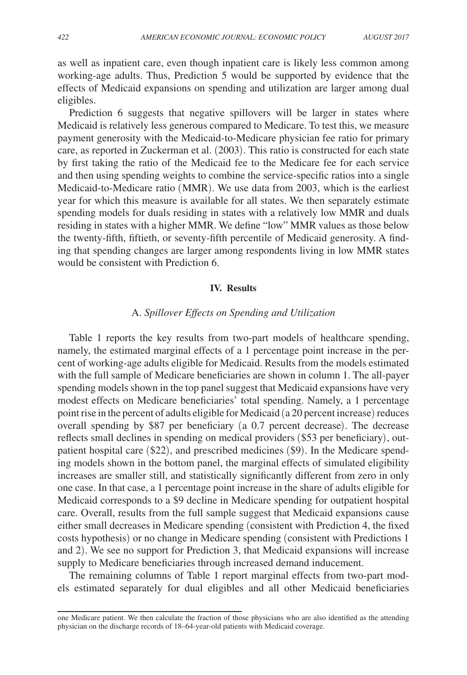as well as inpatient care, even though inpatient care is likely less common among working-age adults. Thus, Prediction 5 would be supported by evidence that the effects of Medicaid expansions on spending and utilization are larger among dual eligibles.

Prediction 6 suggests that negative spillovers will be larger in states where Medicaid is relatively less generous compared to Medicare. To test this, we measure payment generosity with the Medicaid-to-Medicare physician fee ratio for primary care, as reported in Zuckerman et al. (2003). This ratio is constructed for each state by first taking the ratio of the Medicaid fee to the Medicare fee for each service and then using spending weights to combine the service-specific ratios into a single Medicaid-to-Medicare ratio (MMR). We use data from 2003, which is the earliest year for which this measure is available for all states. We then separately estimate spending models for duals residing in states with a relatively low MMR and duals residing in states with a higher MMR. We define "low" MMR values as those below the twenty-fifth, fiftieth, or seventy-fifth percentile of Medicaid generosity. A finding that spending changes are larger among respondents living in low MMR states would be consistent with Prediction 6.

## **IV. Results**

# A. *Spillover Effects on Spending and Utilization*

Table 1 reports the key results from two-part models of healthcare spending, namely, the estimated marginal effects of a 1 percentage point increase in the percent of working-age adults eligible for Medicaid. Results from the models estimated with the full sample of Medicare beneficiaries are shown in column 1. The all-payer spending models shown in the top panel suggest that Medicaid expansions have very modest effects on Medicare beneficiaries' total spending. Namely, a 1 percentage point rise in the percent of adults eligible for Medicaid (a 20 percent increase) reduces overall spending by \$87 per beneficiary (a 0.7 percent decrease). The decrease reflects small declines in spending on medical providers (\$53 per beneficiary), outpatient hospital care (\$22), and prescribed medicines (\$9). In the Medicare spending models shown in the bottom panel, the marginal effects of simulated eligibility increases are smaller still, and statistically significantly different from zero in only one case. In that case, a 1 percentage point increase in the share of adults eligible for Medicaid corresponds to a \$9 decline in Medicare spending for outpatient hospital care. Overall, results from the full sample suggest that Medicaid expansions cause either small decreases in Medicare spending (consistent with Prediction 4, the fixed costs hypothesis) or no change in Medicare spending (consistent with Predictions 1 and 2). We see no support for Prediction 3, that Medicaid expansions will increase supply to Medicare beneficiaries through increased demand inducement.

The remaining columns of Table 1 report marginal effects from two-part models estimated separately for dual eligibles and all other Medicaid beneficiaries

one Medicare patient. We then calculate the fraction of those physicians who are also identified as the attending physician on the discharge records of 18–64-year-old patients with Medicaid coverage.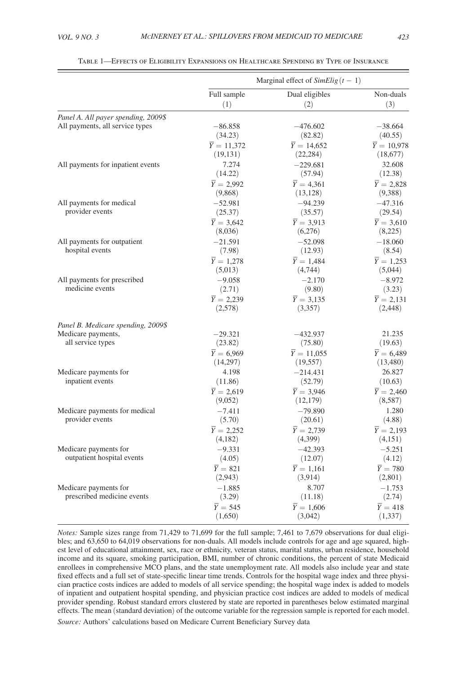<span id="page-15-0"></span>

|                                                  |                             | Marginal effect of $SimElig(t-1)$ |                                    |
|--------------------------------------------------|-----------------------------|-----------------------------------|------------------------------------|
|                                                  | Full sample                 | Dual eligibles                    | Non-duals                          |
|                                                  | (1)                         | (2)                               | (3)                                |
| Panel A. All payer spending, 2009\$              |                             |                                   |                                    |
| All payments, all service types                  | $-86.858$                   | $-476.602$                        | $-38.664$                          |
|                                                  | (34.23)                     | (82.82)                           | (40.55)                            |
|                                                  | $\bar{Y} = 11,372$          | $\bar{Y} = 14,652$                | $\bar{Y} = 10,978$                 |
|                                                  | (19, 131)                   | (22, 284)                         | (18,677)                           |
| All payments for inpatient events                | 7.274<br>(14.22)            | $-229.681$                        | 32.608                             |
|                                                  | $\bar{Y} = 2,992$           | (57.94)<br>$\overline{Y} = 4,361$ | (12.38)<br>$\bar{Y} = 2,828$       |
|                                                  | (9,868)                     | (13, 128)                         | (9,388)                            |
| All payments for medical                         | $-52.981$                   | $-94.239$                         | $-47.316$                          |
| provider events                                  | (25.37)                     | (35.57)                           | (29.54)                            |
|                                                  | $\bar{Y} = 3,642$           | $\overline{Y} = 3,913$            | $\overline{Y} = 3,610$             |
|                                                  | (8,036)                     | (6,276)                           | (8,225)                            |
| All payments for outpatient                      | $-21.591$                   | $-52.098$                         | $-18.060$                          |
| hospital events                                  | (7.98)                      | (12.93)                           | (8.54)                             |
|                                                  | $\bar{Y} = 1,278$           | $\overline{Y} = 1.484$            | $\bar{Y} = 1,253$                  |
|                                                  | (5,013)                     | (4, 744)                          | (5,044)                            |
| All payments for prescribed                      | $-9.058$                    | $-2.170$                          | $-8.972$                           |
| medicine events                                  | (2.71)                      | (9.80)                            | (3.23)                             |
|                                                  | $\overline{Y} = 2,239$      | $\bar{Y} = 3,135$                 | $\bar{Y} = 2,131$                  |
|                                                  | (2,578)                     | (3, 357)                          | (2, 448)                           |
| Panel B. Medicare spending, 2009\$               |                             |                                   |                                    |
| Medicare payments,                               | $-29.321$                   | $-432.937$                        | 21.235                             |
| all service types                                | (23.82)                     | (75.80)                           | (19.63)                            |
|                                                  | $\bar{Y} = 6,969$           | $\bar{Y} = 11,055$                | $\overline{Y} = 6,489$             |
|                                                  | (14,297)                    | (19, 557)                         | (13, 480)                          |
| Medicare payments for                            | 4.198                       | $-214.431$                        | 26.827                             |
| inpatient events                                 | (11.86)                     | (52.79)                           | (10.63)                            |
|                                                  | $\overline{Y} = 2{,}619$    | $\overline{Y} = 3,946$            | $\overline{Y} = 2,460$             |
|                                                  | (9,052)                     | (12, 179)                         | (8,587)                            |
| Medicare payments for medical<br>provider events | $-7.411$                    | $-79.890$                         | 1.280                              |
|                                                  | (5.70)<br>$\bar{Y} = 2,252$ | (20.61)<br>$\overline{Y} = 2,739$ | (4.88)                             |
|                                                  | (4,182)                     | (4,399)                           | $\overline{Y} = 2.193$<br>(4, 151) |
| Medicare payments for                            | $-9.331$                    | $-42.393$                         | $-5.251$                           |
| outpatient hospital events                       | (4.05)                      | (12.07)                           | (4.12)                             |
|                                                  | $\overline{Y} = 821$        | $\bar{Y} = 1,161$                 | $\overline{Y}$ = 780               |
|                                                  | (2, 943)                    | (3,914)                           | (2,801)                            |
| Medicare payments for                            | $-1.885$                    | 8.707                             | $-1.753$                           |
| prescribed medicine events                       | (3.29)                      | (11.18)                           | (2.74)                             |
|                                                  | $\overline{Y} = 545$        | $\overline{Y} = 1,606$            | $\overline{Y} = 418$               |
|                                                  | (1,650)                     | (3,042)                           | (1, 337)                           |

Table 1—Effects of Eligibility Expansions on Healthcare Spending by Type of Insurance

*Notes:* Sample sizes range from 71,429 to 71,699 for the full sample; 7,461 to 7,679 observations for dual eligibles; and 63,650 to 64,019 observations for non-duals. All models include controls for age and age squared, highest level of educational attainment, sex, race or ethnicity, veteran status, marital status, urban residence, household income and its square, smoking participation, BMI, number of chronic conditions, the percent of state Medicaid enrollees in comprehensive MCO plans, and the state unemployment rate. All models also include year and state fixed effects and a full set of state-specific linear time trends. Controls for the hospital wage index and three physician practice costs indices are added to models of all service spending; the hospital wage index is added to models of inpatient and outpatient hospital spending, and physician practice cost indices are added to models of medical provider spending. Robust standard errors clustered by state are reported in parentheses below estimated marginal effects. The mean (standard deviation) of the outcome variable for the regression sample is reported for each model.

*Source:* Authors' calculations based on Medicare Current Beneficiary Survey data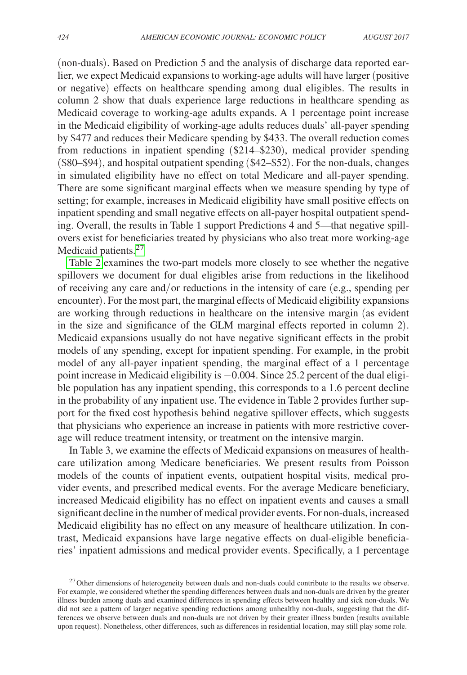(non-duals). Based on Prediction 5 and the analysis of discharge data reported earlier, we expect Medicaid expansions to working-age adults will have larger (positive or negative) effects on healthcare spending among dual eligibles. The results in column 2 show that duals experience large reductions in healthcare spending as Medicaid coverage to working-age adults expands. A 1 percentage point increase in the Medicaid eligibility of working-age adults reduces duals' all-payer spending by \$477 and reduces their Medicare spending by \$433. The overall reduction comes from reductions in inpatient spending (\$214–\$230), medical provider spending (\$80–\$94), and hospital outpatient spending (\$42–\$52). For the non-duals, changes in simulated eligibility have no effect on total Medicare and all-payer spending. There are some significant marginal effects when we measure spending by type of setting; for example, increases in Medicaid eligibility have small positive effects on inpatient spending and small negative effects on all-payer hospital outpatient spending. Overall, the results in Table 1 support Predictions 4 and 5—that negative spillovers exist for beneficiaries treated by physicians who also treat more working-age Medicaid patients.<sup>27</sup>

[Table 2](#page-17-0) examines the two-part models more closely to see whether the negative spillovers we document for dual eligibles arise from reductions in the likelihood of receiving any care and/or reductions in the intensity of care (e.g., spending per encounter). For the most part, the marginal effects of Medicaid eligibility expansions are working through reductions in healthcare on the intensive margin (as evident in the size and significance of the GLM marginal effects reported in column 2). Medicaid expansions usually do not have negative significant effects in the probit models of any spending, except for inpatient spending. For example, in the probit model of any all-payer inpatient spending, the marginal effect of a 1 percentage point increase in Medicaid eligibility is −0.004. Since 25.2 percent of the dual eligible population has any inpatient spending, this corresponds to a 1.6 percent decline in the probability of any inpatient use. The evidence in Table 2 provides further support for the fixed cost hypothesis behind negative spillover effects, which suggests that physicians who experience an increase in patients with more restrictive coverage will reduce treatment intensity, or treatment on the intensive margin.

In Table 3, we examine the effects of Medicaid expansions on measures of healthcare utilization among Medicare beneficiaries. We present results from Poisson models of the counts of inpatient events, outpatient hospital visits, medical provider events, and prescribed medical events. For the average Medicare beneficiary, increased Medicaid eligibility has no effect on inpatient events and causes a small significant decline in the number of medical provider events. For non-duals, increased Medicaid eligibility has no effect on any measure of healthcare utilization. In contrast, Medicaid expansions have large negative effects on dual-eligible beneficiaries' inpatient admissions and medical provider events. Specifically, a 1 percentage

<span id="page-16-0"></span><sup>&</sup>lt;sup>27</sup> Other dimensions of heterogeneity between duals and non-duals could contribute to the results we observe. For example, we considered whether the spending differences between duals and non-duals are driven by the greater illness burden among duals and examined differences in spending effects between healthy and sick non-duals. We did not see a pattern of larger negative spending reductions among unhealthy non-duals, suggesting that the differences we observe between duals and non-duals are not driven by their greater illness burden (results available upon request). Nonetheless, other differences, such as differences in residential location, may still play some role.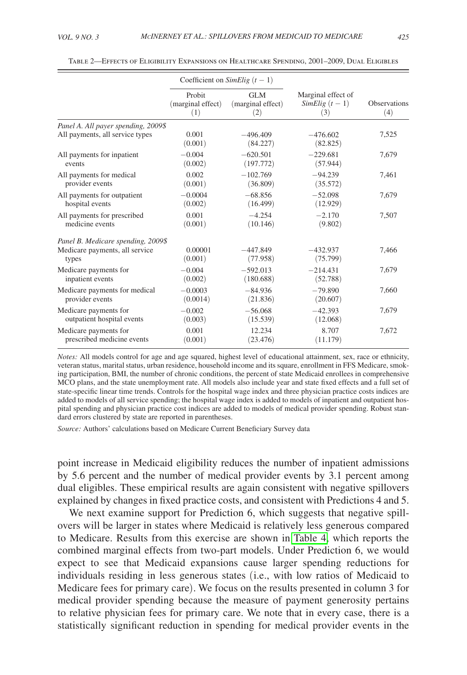|                                     | Coefficient on SimElig $(t-1)$     |                                        |                                              |                            |
|-------------------------------------|------------------------------------|----------------------------------------|----------------------------------------------|----------------------------|
|                                     | Probit<br>(marginal effect)<br>(1) | <b>GLM</b><br>(marginal effect)<br>(2) | Marginal effect of<br>SimElig $(t-1)$<br>(3) | <b>Observations</b><br>(4) |
| Panel A. All payer spending, 2009\$ |                                    |                                        |                                              |                            |
| All payments, all service types     | 0.001<br>(0.001)                   | $-496.409$<br>(84.227)                 | $-476.602$<br>(82.825)                       | 7,525                      |
| All payments for inpatient          | $-0.004$                           | $-620.501$                             | $-229.681$                                   | 7,679                      |
| events                              | (0.002)                            | (197.772)                              | (57.944)                                     |                            |
| All payments for medical            | 0.002                              | $-102.769$                             | $-94.239$                                    | 7,461                      |
| provider events                     | (0.001)                            | (36.809)                               | (35.572)                                     |                            |
| All payments for outpatient         | $-0.0004$                          | $-68.856$                              | $-52.098$                                    | 7,679                      |
| hospital events                     | (0.002)                            | (16.499)                               | (12.929)                                     |                            |
| All payments for prescribed         | 0.001                              | $-4.254$                               | $-2.170$                                     | 7,507                      |
| medicine events                     | (0.001)                            | (10.146)                               | (9.802)                                      |                            |
| Panel B. Medicare spending, 2009\$  |                                    |                                        |                                              |                            |
| Medicare payments, all service      | 0.00001                            | $-447.849$                             | $-432.937$                                   | 7,466                      |
| types                               | (0.001)                            | (77.958)                               | (75.799)                                     |                            |
| Medicare payments for               | $-0.004$                           | $-592.013$                             | $-214.431$                                   | 7,679                      |
| inpatient events                    | (0.002)                            | (180.688)                              | (52.788)                                     |                            |
| Medicare payments for medical       | $-0.0003$                          | $-84.936$                              | $-79.890$                                    | 7,660                      |
| provider events                     | (0.0014)                           | (21.836)                               | (20.607)                                     |                            |
| Medicare payments for               | $-0.002$                           | $-56.068$                              | $-42.393$                                    | 7,679                      |
| outpatient hospital events          | (0.003)                            | (15.539)                               | (12.068)                                     |                            |
| Medicare payments for               | 0.001                              | 12.234                                 | 8.707                                        | 7,672                      |
| prescribed medicine events          | (0.001)                            | (23.476)                               | (11.179)                                     |                            |

<span id="page-17-0"></span>Table 2—Effects of Eligibility Expansions on Healthcare Spending, 2001–2009, Dual Eligibles

*Notes:* All models control for age and age squared, highest level of educational attainment, sex, race or ethnicity, veteran status, marital status, urban residence, household income and its square, enrollment in FFS Medicare, smoking participation, BMI, the number of chronic conditions, the percent of state Medicaid enrollees in comprehensive MCO plans, and the state unemployment rate. All models also include year and state fixed effects and a full set of state-specific linear time trends. Controls for the hospital wage index and three physician practice costs indices are added to models of all service spending; the hospital wage index is added to models of inpatient and outpatient hospital spending and physician practice cost indices are added to models of medical provider spending. Robust standard errors clustered by state are reported in parentheses.

*Source:* Authors' calculations based on Medicare Current Beneficiary Survey data

point increase in Medicaid eligibility reduces the number of inpatient admissions by 5.6 percent and the number of medical provider events by 3.1 percent among dual eligibles. These empirical results are again consistent with negative spillovers explained by changes in fixed practice costs, and consistent with Predictions 4 and 5.

We next examine support for Prediction 6, which suggests that negative spillovers will be larger in states where Medicaid is relatively less generous compared to Medicare. Results from this exercise are shown in [Table 4,](#page-19-0) which reports the combined marginal effects from two-part models. Under Prediction 6, we would expect to see that Medicaid expansions cause larger spending reductions for individuals residing in less generous states (i.e., with low ratios of Medicaid to Medicare fees for primary care). We focus on the results presented in column 3 for medical provider spending because the measure of payment generosity pertains to relative physician fees for primary care. We note that in every case, there is a statistically significant reduction in spending for medical provider events in the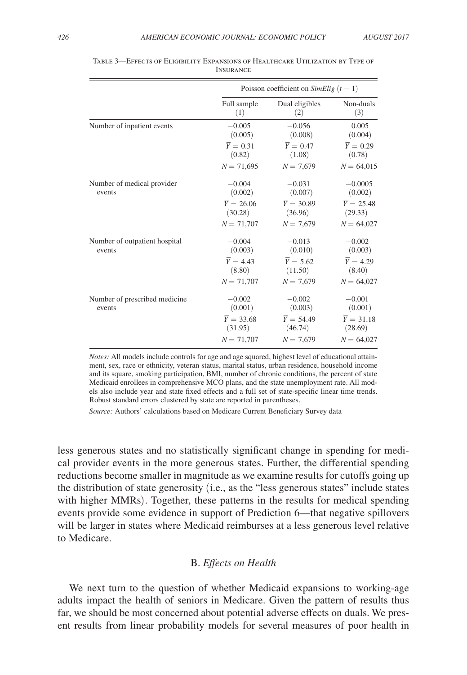|                               | Poisson coefficient on SimElig $(t - 1)$ |                        |                        |  |
|-------------------------------|------------------------------------------|------------------------|------------------------|--|
|                               | Full sample                              | Dual eligibles         | Non-duals              |  |
|                               | (1)                                      | (2)                    | (3)                    |  |
| Number of inpatient events    | $-0.005$                                 | $-0.056$               | 0.005                  |  |
|                               | (0.005)                                  | (0.008)                | (0.004)                |  |
|                               | $\overline{Y} = 0.31$                    | $\overline{Y} = 0.47$  | $\overline{Y} = 0.29$  |  |
|                               | (0.82)                                   | (1.08)                 | (0.78)                 |  |
|                               | $N = 71,695$                             | $N = 7,679$            | $N = 64,015$           |  |
| Number of medical provider    | $-0.004$                                 | $-0.031$               | $-0.0005$              |  |
| events                        | (0.002)                                  | (0.007)                | (0.002)                |  |
|                               | $\overline{Y} = 26.06$                   | $\overline{Y}$ = 30.89 | $\overline{Y} = 25.48$ |  |
|                               | (30.28)                                  | (36.96)                | (29.33)                |  |
|                               | $N = 71,707$                             | $N = 7,679$            | $N = 64,027$           |  |
| Number of outpatient hospital | $-0.004$                                 | $-0.013$               | $-0.002$               |  |
| events                        | (0.003)                                  | (0.010)                | (0.003)                |  |
|                               | $\overline{Y} = 4.43$                    | $\overline{Y} = 5.62$  | $\overline{Y} = 4.29$  |  |
|                               | (8.80)                                   | (11.50)                | (8.40)                 |  |
|                               | $N = 71,707$                             | $N = 7,679$            | $N = 64,027$           |  |
| Number of prescribed medicine | $-0.002$                                 | $-0.002$               | $-0.001$               |  |
| events                        | (0.001)                                  | (0.003)                | (0.001)                |  |
|                               | $\overline{Y} = 33.68$                   | $\overline{Y}$ = 54.49 | $\overline{Y} = 31.18$ |  |
|                               | (31.95)                                  | (46.74)                | (28.69)                |  |
|                               | $N = 71,707$                             | $N = 7,679$            | $N = 64,027$           |  |

<span id="page-18-0"></span>Table 3—Effects of Eligibility Expansions of Healthcare Utilization by Type of **INSURANCE** 

*Notes:* All models include controls for age and age squared, highest level of educational attainment, sex, race or ethnicity, veteran status, marital status, urban residence, household income and its square, smoking participation, BMI, number of chronic conditions, the percent of state Medicaid enrollees in comprehensive MCO plans, and the state unemployment rate. All models also include year and state fixed effects and a full set of state-specific linear time trends. Robust standard errors clustered by state are reported in parentheses.

*Source:* Authors' calculations based on Medicare Current Beneficiary Survey data

less generous states and no statistically significant change in spending for medical provider events in the more generous states. Further, the differential spending reductions become smaller in magnitude as we examine results for cutoffs going up the distribution of state generosity (i.e., as the "less generous states" include states with higher MMRs). Together, these patterns in the results for medical spending events provide some evidence in support of Prediction 6—that negative spillovers will be larger in states where Medicaid reimburses at a less generous level relative to Medicare.

#### B. *Effects on Health*

We next turn to the question of whether Medicaid expansions to working-age adults impact the health of seniors in Medicare. Given the pattern of results thus far, we should be most concerned about potential adverse effects on duals. We present results from linear probability models for several measures of poor health in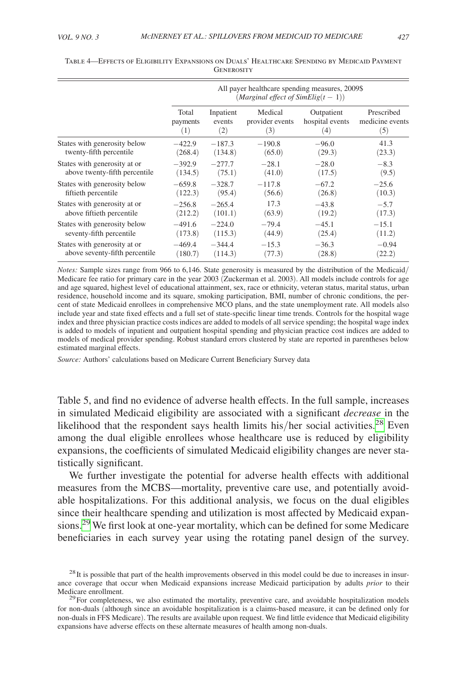|                                |          | All payer healthcare spending measures, 2009\$<br>(Marginal effect of $SimElig(t-1)$ ) |                 |                 |                 |  |  |
|--------------------------------|----------|----------------------------------------------------------------------------------------|-----------------|-----------------|-----------------|--|--|
|                                | Total    | Inpatient                                                                              | Medical         | Outpatient      | Prescribed      |  |  |
|                                | payments | events                                                                                 | provider events | hospital events | medicine events |  |  |
|                                | (1)      | $\left( 2\right)$                                                                      | (3)             | (4)             | (5)             |  |  |
| States with generosity below   | $-422.9$ | $-187.3$                                                                               | $-190.8$        | $-96.0$         | 41.3            |  |  |
| twenty-fifth percentile        | (268.4)  | (134.8)                                                                                | (65.0)          | (29.3)          | (23.3)          |  |  |
| States with generosity at or   | $-392.9$ | $-277.7$                                                                               | $-28.1$         | $-28.0$         | $-8.3$          |  |  |
| above twenty-fifth percentile  | (134.5)  | (75.1)                                                                                 | (41.0)          | (17.5)          | (9.5)           |  |  |
| States with generosity below   | $-659.8$ | $-328.7$                                                                               | $-117.8$        | $-67.2$         | $-25.6$         |  |  |
| fiftieth percentile            | (122.3)  | (95.4)                                                                                 | (56.6)          | (26.8)          | (10.3)          |  |  |
| States with generosity at or   | $-256.8$ | $-265.4$                                                                               | 17.3            | $-43.8$         | $-5.7$          |  |  |
| above fiftieth percentile.     | (212.2)  | (101.1)                                                                                | (63.9)          | (19.2)          | (17.3)          |  |  |
| States with generosity below   | $-491.6$ | $-224.0$                                                                               | $-79.4$         | $-45.1$         | $-15.1$         |  |  |
| seventy-fifth percentile.      | (173.8)  | (115.3)                                                                                | (44.9)          | (25.4)          | (11.2)          |  |  |
| States with generosity at or   | $-469.4$ | $-344.4$                                                                               | $-15.3$         | $-36.3$         | $-0.94$         |  |  |
| above seventy-fifth percentile | (180.7)  | (114.3)                                                                                | (77.3)          | (28.8)          | (22.2)          |  |  |

<span id="page-19-0"></span>Table 4—Effects of Eligibility Expansions on Duals' Healthcare Spending by Medicaid Payment **GENEROSITY** 

*Notes:* Sample sizes range from 966 to 6,146. State generosity is measured by the distribution of the Medicaid/ Medicare fee ratio for primary care in the year 2003 (Zuckerman et al. 2003). All models include controls for age and age squared, highest level of educational attainment, sex, race or ethnicity, veteran status, marital status, urban residence, household income and its square, smoking participation, BMI, number of chronic conditions, the percent of state Medicaid enrollees in comprehensive MCO plans, and the state unemployment rate. All models also include year and state fixed effects and a full set of state-specific linear time trends. Controls for the hospital wage index and three physician practice costs indices are added to models of all service spending; the hospital wage index is added to models of inpatient and outpatient hospital spending and physician practice cost indices are added to models of medical provider spending. Robust standard errors clustered by state are reported in parentheses below estimated marginal effects.

*Source:* Authors' calculations based on Medicare Current Beneficiary Survey data

Table 5, and find no evidence of adverse health effects. In the full sample, increases in simulated Medicaid eligibility are associated with a significant *decrease* in the likelihood that the respondent says health limits his/her social activities.<sup>28</sup> Even among the dual eligible enrollees whose healthcare use is reduced by eligibility expansions, the coefficients of simulated Medicaid eligibility changes are never statistically significant.

We further investigate the potential for adverse health effects with additional measures from the MCBS—mortality, preventive care use, and potentially avoidable hospitalizations. For this additional analysis, we focus on the dual eligibles since their healthcare spending and utilization is most affected by Medicaid expansions[.29](#page-19-2) We first look at one-year mortality, which can be defined for some Medicare beneficiaries in each survey year using the rotating panel design of the survey.

<span id="page-19-1"></span> $^{28}$  It is possible that part of the health improvements observed in this model could be due to increases in insurance coverage that occur when Medicaid expansions increase Medicaid participation by adults *prior* to their

<span id="page-19-2"></span> $29$  For completeness, we also estimated the mortality, preventive care, and avoidable hospitalization models for non-duals (although since an avoidable hospitalization is a claims-based measure, it can be defined only for non-duals in FFS Medicare). The results are available upon request. We find little evidence that Medicaid eligibility expansions have adverse effects on these alternate measures of health among non-duals.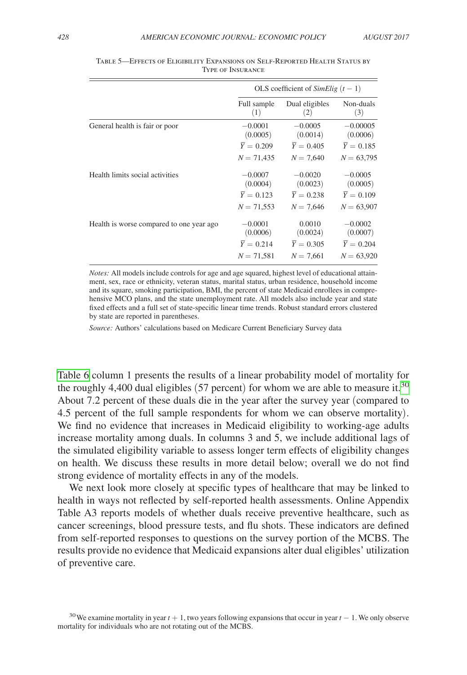|                                          | OLS coefficient of <i>SimElig</i> $(t - 1)$ |                        |                        |  |
|------------------------------------------|---------------------------------------------|------------------------|------------------------|--|
|                                          | Full sample<br>(1)                          | Dual eligibles<br>(2)  | Non-duals<br>(3)       |  |
| General health is fair or poor           | $-0.0001$<br>(0.0005)                       | $-0.0005$<br>(0.0014)  | $-0.00005$<br>(0.0006) |  |
|                                          | $\overline{Y} = 0.209$                      | $\overline{Y} = 0.405$ | $\bar{Y} = 0.185$      |  |
|                                          | $N = 71,435$                                | $N = 7,640$            | $N = 63,795$           |  |
| Health limits social activities          | $-0.0007$<br>(0.0004)                       | $-0.0020$<br>(0.0023)  | $-0.0005$<br>(0.0005)  |  |
|                                          | $\overline{Y} = 0.123$                      | $\overline{Y} = 0.238$ | $\overline{Y} = 0.109$ |  |
|                                          | $N = 71,553$                                | $N = 7,646$            | $N = 63,907$           |  |
| Health is worse compared to one year ago | $-0.0001$<br>(0.0006)                       | 0.0010<br>(0.0024)     | $-0.0002$<br>(0.0007)  |  |
|                                          | $\overline{Y} = 0.214$                      | $\overline{Y} = 0.305$ | $\overline{Y} = 0.204$ |  |
|                                          | $N = 71.581$                                | $N = 7.661$            | $N = 63.920$           |  |

<span id="page-20-0"></span>Table 5—Effects of Eligibility Expansions on Self-Reported Health Status by Type of Insurance

*Notes:* All models include controls for age and age squared, highest level of educational attainment, sex, race or ethnicity, veteran status, marital status, urban residence, household income and its square, smoking participation, BMI, the percent of state Medicaid enrollees in comprehensive MCO plans, and the state unemployment rate. All models also include year and state fixed effects and a full set of state-specific linear time trends. Robust standard errors clustered by state are reported in parentheses.

*Source:* Authors' calculations based on Medicare Current Beneficiary Survey data

[Table 6](#page-21-0) column 1 presents the results of a linear probability model of mortality for the roughly 4,400 dual eligibles (57 percent) for whom we are able to measure it.<sup>30</sup> About 7.2 percent of these duals die in the year after the survey year (compared to 4.5 percent of the full sample respondents for whom we can observe mortality). We find no evidence that increases in Medicaid eligibility to working-age adults increase mortality among duals. In columns 3 and 5, we include additional lags of the simulated eligibility variable to assess longer term effects of eligibility changes on health. We discuss these results in more detail below; overall we do not find strong evidence of mortality effects in any of the models.

We next look more closely at specific types of healthcare that may be linked to health in ways not reflected by self-reported health assessments. Online Appendix Table A3 reports models of whether duals receive preventive healthcare, such as cancer screenings, blood pressure tests, and flu shots. These indicators are defined from self-reported responses to questions on the survey portion of the MCBS. The results provide no evidence that Medicaid expansions alter dual eligibles' utilization of preventive care.

<span id="page-20-1"></span><sup>30</sup>We examine mortality in year *<sup>t</sup>* <sup>+</sup> 1, two years following expansions that occur in year *<sup>t</sup>* <sup>−</sup> 1. We only observe mortality for individuals who are not rotating out of the MCBS.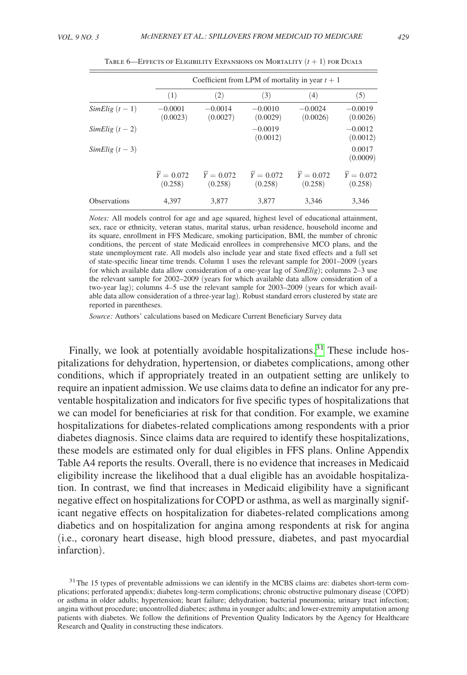<span id="page-21-0"></span>

|                     |                                   | Coefficient from LPM of mortality in year $t + 1$ |                                   |                                   |                                   |  |  |  |
|---------------------|-----------------------------------|---------------------------------------------------|-----------------------------------|-----------------------------------|-----------------------------------|--|--|--|
|                     | (1)                               | $\left( 2\right)$                                 | (3)                               | (4)                               | (5)                               |  |  |  |
| $SimElig (t-1)$     | $-0.0001$<br>(0.0023)             | $-0.0014$<br>(0.0027)                             | $-0.0010$<br>(0.0029)             | $-0.0024$<br>(0.0026)             | $-0.0019$<br>(0.0026)             |  |  |  |
| SimElig $(t-2)$     |                                   |                                                   | $-0.0019$<br>(0.0012)             |                                   | $-0.0012$<br>(0.0012)             |  |  |  |
| SimElig $(t-3)$     |                                   |                                                   |                                   |                                   | 0.0017<br>(0.0009)                |  |  |  |
|                     | $\overline{Y} = 0.072$<br>(0.258) | $\overline{Y} = 0.072$<br>(0.258)                 | $\overline{Y} = 0.072$<br>(0.258) | $\overline{Y} = 0.072$<br>(0.258) | $\overline{Y} = 0.072$<br>(0.258) |  |  |  |
| <b>Observations</b> | 4.397                             | 3.877                                             | 3.877                             | 3.346                             | 3.346                             |  |  |  |

Table 6—Effects of Eligibility Expansions on Mortality  $(t + 1)$  for Duals

*Notes:* All models control for age and age squared, highest level of educational attainment, sex, race or ethnicity, veteran status, marital status, urban residence, household income and its square, enrollment in FFS Medicare, smoking participation, BMI, the number of chronic conditions, the percent of state Medicaid enrollees in comprehensive MCO plans, and the state unemployment rate. All models also include year and state fixed effects and a full set of state-specific linear time trends. Column 1 uses the relevant sample for 2001–2009 (years for which available data allow consideration of a one-year lag of *SimElig*); columns 2–3 use the relevant sample for 2002–2009 (years for which available data allow consideration of a two-year lag); columns 4–5 use the relevant sample for 2003–2009 (years for which available data allow consideration of a three-year lag). Robust standard errors clustered by state are reported in parentheses.

*Source:* Authors' calculations based on Medicare Current Beneficiary Survey data

Finally, we look at potentially avoidable hospitalizations.<sup>31</sup> These include hospitalizations for dehydration, hypertension, or diabetes complications, among other conditions, which if appropriately treated in an outpatient setting are unlikely to require an inpatient admission. We use claims data to define an indicator for any preventable hospitalization and indicators for five specific types of hospitalizations that we can model for beneficiaries at risk for that condition. For example, we examine hospitalizations for diabetes-related complications among respondents with a prior diabetes diagnosis. Since claims data are required to identify these hospitalizations, these models are estimated only for dual eligibles in FFS plans. Online Appendix Table A4 reports the results. Overall, there is no evidence that increases in Medicaid eligibility increase the likelihood that a dual eligible has an avoidable hospitalization. In contrast, we find that increases in Medicaid eligibility have a significant negative effect on hospitalizations for COPD or asthma, as well as marginally significant negative effects on hospitalization for diabetes-related complications among diabetics and on hospitalization for angina among respondents at risk for angina (i.e., coronary heart disease, high blood pressure, diabetes, and past myocardial infarction).

<span id="page-21-1"></span><sup>31</sup>The 15 types of preventable admissions we can identify in the MCBS claims are: diabetes short-term complications; perforated appendix; diabetes long-term complications; chronic obstructive pulmonary disease (COPD) or asthma in older adults; hypertension; heart failure; dehydration; bacterial pneumonia; urinary tract infection; angina without procedure; uncontrolled diabetes; asthma in younger adults; and lower-extremity amputation among patients with diabetes. We follow the definitions of Prevention Quality Indicators by the Agency for Healthcare Research and Quality in constructing these indicators.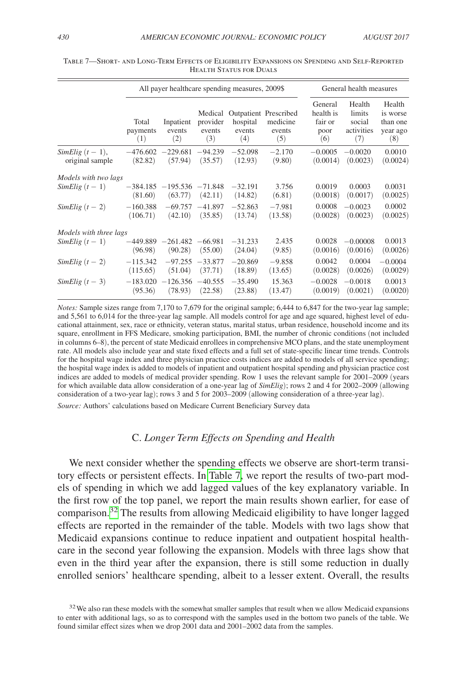|                        | All payer healthcare spending measures, 2009\$ |                            |                                      |                           |                                                    | General health measures                        |                                                 |                                                   |
|------------------------|------------------------------------------------|----------------------------|--------------------------------------|---------------------------|----------------------------------------------------|------------------------------------------------|-------------------------------------------------|---------------------------------------------------|
|                        | Total<br>payments<br>(1)                       | Inpatient<br>events<br>(2) | Medical<br>provider<br>events<br>(3) | hospital<br>events<br>(4) | Outpatient Prescribed<br>medicine<br>events<br>(5) | General<br>health is<br>fair or<br>poor<br>(6) | Health<br>limits<br>social<br>activities<br>(7) | Health<br>is worse<br>than one<br>year ago<br>(8) |
| $SimElig (t-1),$       | $-476.602$                                     | $-229.681$                 | $-94.239$                            | $-52.098$                 | $-2.170$                                           | $-0.0005$                                      | $-0.0020$                                       | 0.0010                                            |
| original sample        | (82.82)                                        | (57.94)                    | (35.57)                              | (12.93)                   | (9.80)                                             | (0.0014)                                       | (0.0023)                                        | (0.0024)                                          |
| Models with two lags   |                                                |                            |                                      |                           |                                                    |                                                |                                                 |                                                   |
| $SimElig (t-1)$        | $-384.185$                                     | $-195.536$                 | $-71.848$                            | $-32.191$                 | 3.756                                              | 0.0019                                         | 0.0003                                          | 0.0031                                            |
|                        | (81.60)                                        | (63.77)                    | (42.11)                              | (14.82)                   | (6.81)                                             | (0.0018)                                       | (0.0017)                                        | (0.0025)                                          |
| $SimElig (t-2)$        | $-160.388$                                     | $-69.757$                  | $-41.897$                            | $-52.863$                 | $-7.981$                                           | 0.0008                                         | $-0.0023$                                       | 0.0002                                            |
|                        | (106.71)                                       | (42.10)                    | (35.85)                              | (13.74)                   | (13.58)                                            | (0.0028)                                       | (0.0023)                                        | (0.0025)                                          |
| Models with three lags |                                                |                            |                                      |                           |                                                    |                                                |                                                 |                                                   |
| $SimElig (t-1)$        | $-449.889$                                     | $-261.482$                 | $-66.981$                            | $-31.233$                 | 2.435                                              | 0.0028                                         | $-0.00008$                                      | 0.0013                                            |
|                        | (96.98)                                        | (90.28)                    | (55.00)                              | (24.04)                   | (9.85)                                             | (0.0016)                                       | (0.0016)                                        | (0.0026)                                          |
| $SimElig (t-2)$        | $-115.342$                                     | $-97.255$                  | $-33.877$                            | $-20.869$                 | $-9.858$                                           | 0.0042                                         | 0.0004                                          | $-0.0004$                                         |
|                        | (115.65)                                       | (51.04)                    | (37.71)                              | (18.89)                   | (13.65)                                            | (0.0028)                                       | (0.0026)                                        | (0.0029)                                          |
| $SimElig (t-3)$        | $-183.020$                                     | $-126.356$                 | $-40.555$                            | $-35.490$                 | 15.363                                             | $-0.0028$                                      | $-0.0018$                                       | 0.0013                                            |
|                        | (95.36)                                        | (78.93)                    | (22.58)                              | (23.88)                   | (13.47)                                            | (0.0019)                                       | (0.0021)                                        | (0.0020)                                          |

Table 7—Short- and Long-Term Effects of Eligibility Expansions on Spending and Self-Reported Health Status for Duals

*Notes:* Sample sizes range from 7,170 to 7,679 for the original sample; 6,444 to 6,847 for the two-year lag sample; and 5,561 to 6,014 for the three-year lag sample. All models control for age and age squared, highest level of educational attainment, sex, race or ethnicity, veteran status, marital status, urban residence, household income and its square, enrollment in FFS Medicare, smoking participation, BMI, the number of chronic conditions (not included in columns 6–8), the percent of state Medicaid enrollees in comprehensive MCO plans, and the state unemployment rate. All models also include year and state fixed effects and a full set of state-specific linear time trends. Controls for the hospital wage index and three physician practice costs indices are added to models of all service spending; the hospital wage index is added to models of inpatient and outpatient hospital spending and physician practice cost indices are added to models of medical provider spending. Row 1 uses the relevant sample for 2001–2009 (years for which available data allow consideration of a one-year lag of *SimElig*); rows 2 and 4 for 2002–2009 (allowing consideration of a two-year lag); rows 3 and 5 for 2003–2009 (allowing consideration of a three-year lag).

*Source:* Authors' calculations based on Medicare Current Beneficiary Survey data

## C. *Longer Term Effects on Spending and Health*

We next consider whether the spending effects we observe are short-term transitory effects or persistent effects. In Table 7, we report the results of two-part models of spending in which we add lagged values of the key explanatory variable. In the first row of the top panel, we report the main results shown earlier, for ease of comparison.[32](#page-22-0) The results from allowing Medicaid eligibility to have longer lagged effects are reported in the remainder of the table. Models with two lags show that Medicaid expansions continue to reduce inpatient and outpatient hospital healthcare in the second year following the expansion. Models with three lags show that even in the third year after the expansion, there is still some reduction in dually enrolled seniors' healthcare spending, albeit to a lesser extent. Overall, the results

<span id="page-22-0"></span> $32$  We also ran these models with the somewhat smaller samples that result when we allow Medicaid expansions to enter with additional lags, so as to correspond with the samples used in the bottom two panels of the table. We found similar effect sizes when we drop 2001 data and 2001–2002 data from the samples.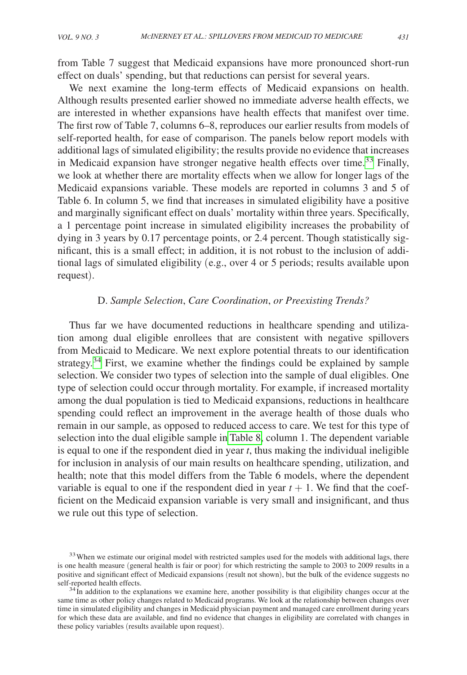from Table 7 suggest that Medicaid expansions have more pronounced short-run effect on duals' spending, but that reductions can persist for several years.

We next examine the long-term effects of Medicaid expansions on health. Although results presented earlier showed no immediate adverse health effects, we are interested in whether expansions have health effects that manifest over time. The first row of Table 7, columns 6–8, reproduces our earlier results from models of self-reported health, for ease of comparison. The panels below report models with additional lags of simulated eligibility; the results provide no evidence that increases in Medicaid expansion have stronger negative health effects over time.<sup>33</sup> Finally, we look at whether there are mortality effects when we allow for longer lags of the Medicaid expansions variable. These models are reported in columns 3 and 5 of Table 6. In column 5, we find that increases in simulated eligibility have a positive and marginally significant effect on duals' mortality within three years. Specifically, a 1 percentage point increase in simulated eligibility increases the probability of dying in 3 years by 0.17 percentage points, or 2.4 percent. Though statistically significant, this is a small effect; in addition, it is not robust to the inclusion of additional lags of simulated eligibility (e.g., over 4 or 5 periods; results available upon request).

# D. *Sample Selection*, *Care Coordination*, *or Preexisting Trends?*

Thus far we have documented reductions in healthcare spending and utilization among dual eligible enrollees that are consistent with negative spillovers from Medicaid to Medicare. We next explore potential threats to our identification strategy.<sup>34</sup> First, we examine whether the findings could be explained by sample selection. We consider two types of selection into the sample of dual eligibles. One type of selection could occur through mortality. For example, if increased mortality among the dual population is tied to Medicaid expansions, reductions in healthcare spending could reflect an improvement in the average health of those duals who remain in our sample, as opposed to reduced access to care. We test for this type of selection into the dual eligible sample in [Table 8,](#page-24-0) column 1. The dependent variable is equal to one if the respondent died in year *t*, thus making the individual ineligible for inclusion in analysis of our main results on healthcare spending, utilization, and health; note that this model differs from the Table 6 models, where the dependent variable is equal to one if the respondent died in year  $t + 1$ . We find that the coefficient on the Medicaid expansion variable is very small and insignificant, and thus we rule out this type of selection.

<span id="page-23-0"></span><sup>&</sup>lt;sup>33</sup> When we estimate our original model with restricted samples used for the models with additional lags, there is one health measure (general health is fair or poor) for which restricting the sample to 2003 to 2009 results in a positive and significant effect of Medicaid expansions (result not shown), but the bulk of the evidence suggests no

<span id="page-23-1"></span> $34\bar{1}$ n addition to the explanations we examine here, another possibility is that eligibility changes occur at the same time as other policy changes related to Medicaid programs. We look at the relationship between changes over time in simulated eligibility and changes in Medicaid physician payment and managed care enrollment during years for which these data are available, and find no evidence that changes in eligibility are correlated with changes in these policy variables (results available upon request).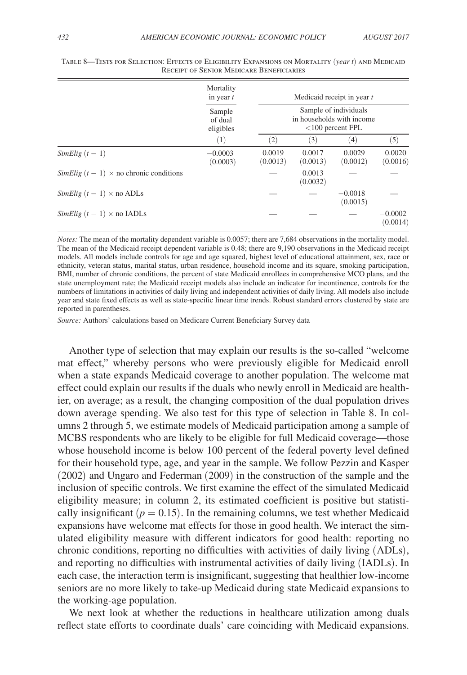|                                              | Mortality<br>in year $t$<br>Sample<br>of dual<br>eligibles<br>(1) |                    |                    | Medicaid receipt in year t                                               |                       |
|----------------------------------------------|-------------------------------------------------------------------|--------------------|--------------------|--------------------------------------------------------------------------|-----------------------|
|                                              |                                                                   |                    |                    | Sample of individuals<br>in households with income<br>$<100$ percent FPL |                       |
|                                              |                                                                   | (2)                | (3)                | (4)                                                                      | (5)                   |
| $SimElig (t-1)$                              | $-0.0003$<br>(0.0003)                                             | 0.0019<br>(0.0013) | 0.0017<br>(0.0013) | 0.0029<br>(0.0012)                                                       | 0.0020<br>(0.0016)    |
| SimElig $(t-1) \times$ no chronic conditions |                                                                   |                    | 0.0013<br>(0.0032) |                                                                          |                       |
| SimElig $(t-1) \times$ no ADLs               |                                                                   |                    |                    | $-0.0018$<br>(0.0015)                                                    |                       |
| SimElig $(t-1) \times$ no IADLs              |                                                                   |                    |                    |                                                                          | $-0.0002$<br>(0.0014) |

<span id="page-24-0"></span>Table 8—Tests for Selection: Effects of Eligibility Expansions on Mortality (*year t*) and Medicaid Receipt of Senior Medicare Beneficiaries

*Notes:* The mean of the mortality dependent variable is 0.0057; there are 7,684 observations in the mortality model. The mean of the Medicaid receipt dependent variable is 0.48; there are 9,190 observations in the Medicaid receipt models. All models include controls for age and age squared, highest level of educational attainment, sex, race or ethnicity, veteran status, marital status, urban residence, household income and its square, smoking participation, BMI, number of chronic conditions, the percent of state Medicaid enrollees in comprehensive MCO plans, and the state unemployment rate; the Medicaid receipt models also include an indicator for incontinence, controls for the numbers of limitations in activities of daily living and independent activities of daily living. All models also include year and state fixed effects as well as state-specific linear time trends. Robust standard errors clustered by state are reported in parentheses.

*Source:* Authors' calculations based on Medicare Current Beneficiary Survey data

Another type of selection that may explain our results is the so-called "welcome mat effect," whereby persons who were previously eligible for Medicaid enroll when a state expands Medicaid coverage to another population. The welcome mat effect could explain our results if the duals who newly enroll in Medicaid are healthier, on average; as a result, the changing composition of the dual population drives down average spending. We also test for this type of selection in Table 8. In columns 2 through 5, we estimate models of Medicaid participation among a sample of MCBS respondents who are likely to be eligible for full Medicaid coverage—those whose household income is below 100 percent of the federal poverty level defined for their household type, age, and year in the sample. We follow Pezzin and Kasper (2002) and Ungaro and Federman (2009) in the construction of the sample and the inclusion of specific controls. We first examine the effect of the simulated Medicaid eligibility measure; in column 2, its estimated coefficient is positive but statistically insignificant ( $p = 0.15$ ). In the remaining columns, we test whether Medicaid expansions have welcome mat effects for those in good health. We interact the simulated eligibility measure with different indicators for good health: reporting no chronic conditions, reporting no difficulties with activities of daily living (ADLs), and reporting no difficulties with instrumental activities of daily living (IADLs). In each case, the interaction term is insignificant, suggesting that healthier low-income seniors are no more likely to take-up Medicaid during state Medicaid expansions to the working-age population.

We next look at whether the reductions in healthcare utilization among duals reflect state efforts to coordinate duals' care coinciding with Medicaid expansions.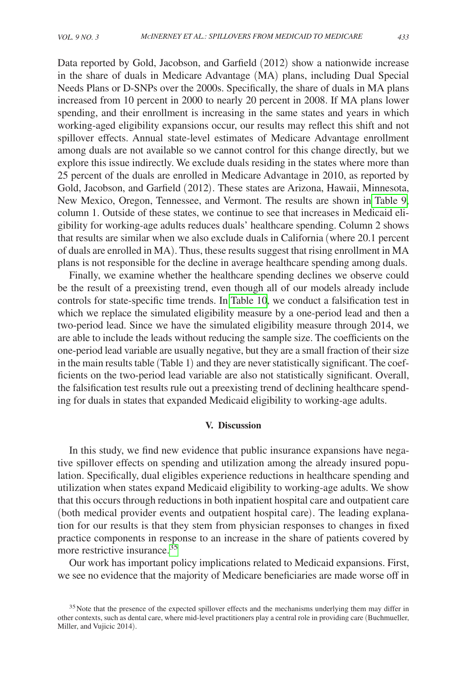Data reported by Gold, Jacobson, and Garfield (2012) show a nationwide increase in the share of duals in Medicare Advantage (MA) plans, including Dual Special Needs Plans or D-SNPs over the 2000s. Specifically, the share of duals in MA plans increased from 10 percent in 2000 to nearly 20 percent in 2008. If MA plans lower spending, and their enrollment is increasing in the same states and years in which working-aged eligibility expansions occur, our results may reflect this shift and not spillover effects. Annual state-level estimates of Medicare Advantage enrollment among duals are not available so we cannot control for this change directly, but we explore this issue indirectly. We exclude duals residing in the states where more than 25 percent of the duals are enrolled in Medicare Advantage in 2010, as reported by Gold, Jacobson, and Garfield (2012). These states are Arizona, Hawaii, Minnesota, New Mexico, Oregon, Tennessee, and Vermont. The results are shown in [Table 9,](#page-26-0) column 1. Outside of these states, we continue to see that increases in Medicaid eligibility for working-age adults reduces duals' healthcare spending. Column 2 shows that results are similar when we also exclude duals in California (where 20.1 percent of duals are enrolled in MA). Thus, these results suggest that rising enrollment in MA plans is not responsible for the decline in average healthcare spending among duals.

Finally, we examine whether the healthcare spending declines we observe could be the result of a preexisting trend, even though all of our models already include controls for state-specific time trends. In [Table 10](#page-27-0), we conduct a falsification test in which we replace the simulated eligibility measure by a one-period lead and then a two-period lead. Since we have the simulated eligibility measure through 2014, we are able to include the leads without reducing the sample size. The coefficients on the one-period lead variable are usually negative, but they are a small fraction of their size in the main results table (Table 1) and they are never statistically significant. The coefficients on the two-period lead variable are also not statistically significant. Overall, the falsification test results rule out a preexisting trend of declining healthcare spending for duals in states that expanded Medicaid eligibility to working-age adults.

#### **V. Discussion**

In this study, we find new evidence that public insurance expansions have negative spillover effects on spending and utilization among the already insured population. Specifically, dual eligibles experience reductions in healthcare spending and utilization when states expand Medicaid eligibility to working-age adults. We show that this occurs through reductions in both inpatient hospital care and outpatient care (both medical provider events and outpatient hospital care). The leading explanation for our results is that they stem from physician responses to changes in fixed practice components in response to an increase in the share of patients covered by more restrictive insurance.<sup>[35](#page-25-0)</sup>

Our work has important policy implications related to Medicaid expansions. First, we see no evidence that the majority of Medicare beneficiaries are made worse off in

<span id="page-25-0"></span><sup>&</sup>lt;sup>35</sup>Note that the presence of the expected spillover effects and the mechanisms underlying them may differ in other contexts, such as dental care, where mid-level practitioners play a central role in providing care (Buchmueller, Miller, and Vujicic 2014).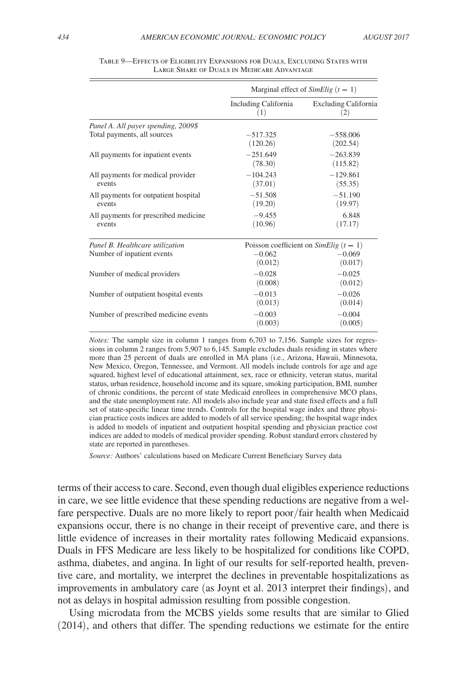|                                                | Marginal effect of SimElig $(t - 1)$ |                                          |  |
|------------------------------------------------|--------------------------------------|------------------------------------------|--|
|                                                | Including California<br>(1)          | <b>Excluding California</b><br>(2)       |  |
| Panel A. All payer spending, 2009\$            |                                      |                                          |  |
| Total payments, all sources                    | $-517.325$<br>(120.26)               | $-558,006$<br>(202.54)                   |  |
| All payments for inpatient events              | $-251.649$<br>(78.30)                | $-263.839$<br>(115.82)                   |  |
| All payments for medical provider<br>events    | $-104.243$<br>(37.01)                | $-129.861$<br>(55.35)                    |  |
| All payments for outpatient hospital<br>events | $-51.508$<br>(19.20)                 | $-51.190$<br>(19.97)                     |  |
| All payments for prescribed medicine<br>events | $-9.455$<br>(10.96)                  | 6.848<br>(17.17)                         |  |
| Panel B. Healthcare utilization                |                                      | Poisson coefficient on SimElig $(t - 1)$ |  |
| Number of inpatient events                     | $-0.062$<br>(0.012)                  | $-0.069$<br>(0.017)                      |  |
| Number of medical providers                    | $-0.028$<br>(0.008)                  | $-0.025$<br>(0.012)                      |  |
| Number of outpatient hospital events           | $-0.013$<br>(0.013)                  | $-0.026$<br>(0.014)                      |  |
| Number of prescribed medicine events           | $-0.003$<br>(0.003)                  | $-0.004$<br>(0.005)                      |  |

<span id="page-26-0"></span>Table 9—Effects of Eligibility Expansions for Duals, Excluding States with Large Share of Duals in Medicare Advantage

*Notes:* The sample size in column 1 ranges from 6,703 to 7,156. Sample sizes for regressions in column 2 ranges from 5,907 to 6,145. Sample excludes duals residing in states where more than 25 percent of duals are enrolled in MA plans (i.e., Arizona, Hawaii, Minnesota, New Mexico, Oregon, Tennessee, and Vermont. All models include controls for age and age squared, highest level of educational attainment, sex, race or ethnicity, veteran status, marital status, urban residence, household income and its square, smoking participation, BMI, number of chronic conditions, the percent of state Medicaid enrollees in comprehensive MCO plans, and the state unemployment rate. All models also include year and state fixed effects and a full set of state-specific linear time trends. Controls for the hospital wage index and three physician practice costs indices are added to models of all service spending; the hospital wage index is added to models of inpatient and outpatient hospital spending and physician practice cost indices are added to models of medical provider spending. Robust standard errors clustered by state are reported in parentheses.

*Source:* Authors' calculations based on Medicare Current Beneficiary Survey data

terms of their access to care. Second, even though dual eligibles experience reductions in care, we see little evidence that these spending reductions are negative from a welfare perspective. Duals are no more likely to report poor/fair health when Medicaid expansions occur, there is no change in their receipt of preventive care, and there is little evidence of increases in their mortality rates following Medicaid expansions. Duals in FFS Medicare are less likely to be hospitalized for conditions like COPD, asthma, diabetes, and angina. In light of our results for self-reported health, preventive care, and mortality, we interpret the declines in preventable hospitalizations as improvements in ambulatory care (as Joynt et al. 2013 interpret their findings), and not as delays in hospital admission resulting from possible congestion.

Using microdata from the MCBS yields some results that are similar to Glied (2014), and others that differ. The spending reductions we estimate for the entire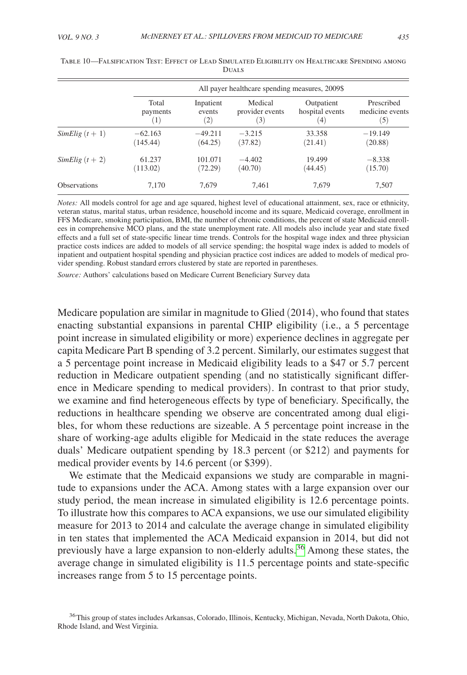|                     |           | All payer healthcare spending measures, 2009\$ |                 |                 |                 |  |  |  |
|---------------------|-----------|------------------------------------------------|-----------------|-----------------|-----------------|--|--|--|
|                     | Total     | Inpatient                                      | Medical         | Outpatient      | Prescribed      |  |  |  |
|                     | payments  | events                                         | provider events | hospital events | medicine events |  |  |  |
|                     | (1)       | (2)                                            | (3)             | (4)             | (5)             |  |  |  |
| $SimElig(t+1)$      | $-62.163$ | $-49.211$                                      | $-3.215$        | 33.358          | $-19.149$       |  |  |  |
|                     | (145.44)  | (64.25)                                        | (37.82)         | (21.41)         | (20.88)         |  |  |  |
| $SimElig(t+2)$      | 61.237    | 101.071                                        | $-4.402$        | 19.499          | $-8.338$        |  |  |  |
|                     | (113.02)  | (72.29)                                        | (40.70)         | (44.45)         | (15.70)         |  |  |  |
| <b>Observations</b> | 7.170     | 7.679                                          | 7.461           | 7.679           | 7,507           |  |  |  |

<span id="page-27-0"></span>Table 10 —Falsification Test: Effect of Lead Simulated Eligibility on Healthcare Spending among DUALS

*Notes:* All models control for age and age squared, highest level of educational attainment, sex, race or ethnicity, veteran status, marital status, urban residence, household income and its square, Medicaid coverage, enrollment in FFS Medicare, smoking participation, BMI, the number of chronic conditions, the percent of state Medicaid enrollees in comprehensive MCO plans, and the state unemployment rate. All models also include year and state fixed effects and a full set of state-specific linear time trends. Controls for the hospital wage index and three physician practice costs indices are added to models of all service spending; the hospital wage index is added to models of inpatient and outpatient hospital spending and physician practice cost indices are added to models of medical provider spending. Robust standard errors clustered by state are reported in parentheses.

*Source:* Authors' calculations based on Medicare Current Beneficiary Survey data

Medicare population are similar in magnitude to Glied (2014), who found that states enacting substantial expansions in parental CHIP eligibility (i.e., a 5 percentage point increase in simulated eligibility or more) experience declines in aggregate per capita Medicare Part B spending of 3.2 percent. Similarly, our estimates suggest that a 5 percentage point increase in Medicaid eligibility leads to a \$47 or 5.7 percent reduction in Medicare outpatient spending (and no statistically significant difference in Medicare spending to medical providers). In contrast to that prior study, we examine and find heterogeneous effects by type of beneficiary. Specifically, the reductions in healthcare spending we observe are concentrated among dual eligibles, for whom these reductions are sizeable. A 5 percentage point increase in the share of working-age adults eligible for Medicaid in the state reduces the average duals' Medicare outpatient spending by 18.3 percent (or \$212) and payments for medical provider events by 14.6 percent (or \$399).

We estimate that the Medicaid expansions we study are comparable in magnitude to expansions under the ACA. Among states with a large expansion over our study period, the mean increase in simulated eligibility is 12.6 percentage points. To illustrate how this compares to ACA expansions, we use our simulated eligibility measure for 2013 to 2014 and calculate the average change in simulated eligibility in ten states that implemented the ACA Medicaid expansion in 2014, but did not previously have a large expansion to non-elderly adults.[36](#page-27-1) Among these states, the average change in simulated eligibility is 11.5 percentage points and state-specific increases range from 5 to 15 percentage points.

<span id="page-27-1"></span><sup>&</sup>lt;sup>36</sup>This group of states includes Arkansas, Colorado, Illinois, Kentucky, Michigan, Nevada, North Dakota, Ohio, Rhode Island, and West Virginia.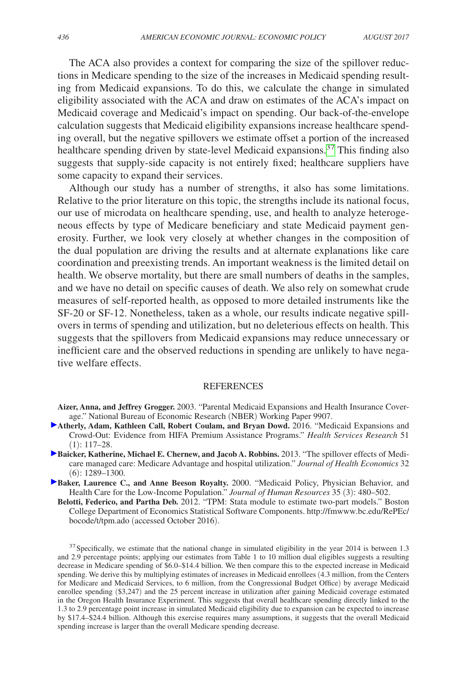The ACA also provides a context for comparing the size of the spillover reductions in Medicare spending to the size of the increases in Medicaid spending resulting from Medicaid expansions. To do this, we calculate the change in simulated eligibility associated with the ACA and draw on estimates of the ACA's impact on Medicaid coverage and Medicaid's impact on spending. Our back-of-the-envelope calculation suggests that Medicaid eligibility expansions increase healthcare spending overall, but the negative spillovers we estimate offset a portion of the increased healthcare spending driven by state-level Medicaid expansions.<sup>37</sup> This finding also suggests that supply-side capacity is not entirely fixed; healthcare suppliers have some capacity to expand their services.

Although our study has a number of strengths, it also has some limitations. Relative to the prior literature on this topic, the strengths include its national focus, our use of microdata on healthcare spending, use, and health to analyze heterogeneous effects by type of Medicare beneficiary and state Medicaid payment generosity. Further, we look very closely at whether changes in the composition of the dual population are driving the results and at alternate explanations like care coordination and preexisting trends. An important weakness is the limited detail on health. We observe mortality, but there are small numbers of deaths in the samples, and we have no detail on specific causes of death. We also rely on somewhat crude measures of self-reported health, as opposed to more detailed instruments like the SF-20 or SF-12. Nonetheless, taken as a whole, our results indicate negative spillovers in terms of spending and utilization, but no deleterious effects on health. This suggests that the spillovers from Medicaid expansions may reduce unnecessary or inefficient care and the observed reductions in spending are unlikely to have negative welfare effects.

#### **REFERENCES**

- **Atherly, Adam, Kathleen Call, Robert Coulam, and Bryan Dowd.** 2016. "Medicaid Expansions and Crowd-Out: Evidence from HIFA Premium Assistance Programs." *Health Services Research* 51 (1): 117–28.
- **Baicker, Katherine, Michael E. Chernew, and Jacob A. Robbins.** 2013. "The spillover effects of Medicare managed care: Medicare Advantage and hospital utilization." *Journal of Health Economics* 32 (6): 1289–1300.
- **Baker, Laurence C., and Anne Beeson Royalty.** 2000. "Medicaid Policy, Physician Behavior, and Health Care for the Low-Income Population." *Journal of Human Resources* 35 (3): 480–502.
	- **Belotti, Federico, and Partha Deb.** 2012. "TPM: Stata module to estimate two-part models." Boston [College Department of Economics Statistical Software Components. http://fmwww.bc.edu/RePEc/](http://fmwww.bc.edu/RePEc/bocode/t/tpm.ado) bocode/t/tpm.ado (accessed October 2016).

<span id="page-28-0"></span> $37$  Specifically, we estimate that the national change in simulated eligibility in the year 2014 is between 1.3 and 2.9 percentage points; applying our estimates from Table 1 to 10 million dual eligibles suggests a resulting decrease in Medicare spending of \$6.0–\$14.4 billion. We then compare this to the expected increase in Medicaid spending. We derive this by multiplying estimates of increases in Medicaid enrollees (4.3 million, from the Centers for Medicare and Medicaid Services, to 6 million, from the Congressional Budget Office) by average Medicaid enrollee spending (\$3,247) and the 25 percent increase in utilization after gaining Medicaid coverage estimated in the Oregon Health Insurance Experiment. This suggests that overall healthcare spending directly linked to the 1.3 to 2.9 percentage point increase in simulated Medicaid eligibility due to expansion can be expected to increase by \$17.4–\$24.4 billion. Although this exercise requires many assumptions, it suggests that the overall Medicaid spending increase is larger than the overall Medicare spending decrease.

**Aizer, Anna, and Jeffrey Grogger.** 2003. "Parental Medicaid Expansions and Health Insurance Coverage." National Bureau of Economic Research (NBER) Working Paper 9907.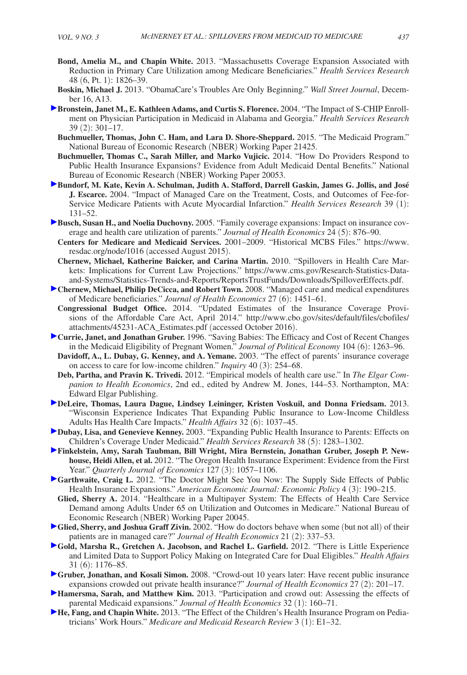- **Bond, Amelia M., and Chapin White.** 2013. "Massachusetts Coverage Expansion Associated with Reduction in Primary Care Utilization among Medicare Beneficiaries." *Health Services Research* 48 (6, Pt. 1): 1826–39.
- **Boskin, Michael J.** 2013. "ObamaCare's Troubles Are Only Beginning." *Wall Street Journal*, December 16, A13.
- **Bronstein, Janet M., E. Kathleen Adams, and Curtis S. Florence.** 2004. "The Impact of S-CHIP Enrollment on Physician Participation in Medicaid in Alabama and Georgia." *Health Services Research* 39 (2): 301–17.
	- **Buchmueller, Thomas, John C. Ham, and Lara D. Shore-Sheppard.** 2015. "The Medicaid Program." National Bureau of Economic Research (NBER) Working Paper 21425.
	- **Buchmueller, Thomas C., Sarah Miller, and Marko Vujicic.** 2014. "How Do Providers Respond to Public Health Insurance Expansions? Evidence from Adult Medicaid Dental Benefits." National Bureau of Economic Research (NBER) Working Paper 20053.
- **Bundorf, M. Kate, Kevin A. Schulman, Judith A. Stafford, Darrell Gaskin, James G. Jollis, and José J. Escarce.** 2004. "Impact of Managed Care on the Treatment, Costs, and Outcomes of Fee-for-Service Medicare Patients with Acute Myocardial Infarction." *Health Services Research* 39 (1): 131–52.
- **Busch, Susan H., and Noelia Duchovny.** 2005. "Family coverage expansions: Impact on insurance coverage and health care utilization of parents." *Journal of Health Economics* 24 (5): 876–90.
	- **Centers for Medicare and Medicaid Services.** [2001–2009. "Historical MCBS Files." https://www.](https://www.resdac.org/node/1016) resdac.org/node/1016 (accessed August 2015).
	- **Chernew, Michael, Katherine Baicker, and Carina Martin.** 2010. "Spillovers in Health Care Markets: Implications for Current Law Projections." https://www.cms.gov/Research-Statistics-Dataand-Systems/Statistics-Trends-and-Reports/ReportsTrustFunds/Downloads/SpilloverEffects.pdf.
- **Chernew, Michael, Philip DeCicca, and Robert Town.** 2008. "Managed care and medical expenditures of Medicare beneficiaries." *Journal of Health Economics* 27 (6): 1451–61.
- **Congressional Budget Office.** 2014. "Updated Estimates of the Insurance Coverage Provi[sions of the Affordable Care Act, April 2014." http://www.cbo.gov/sites/default/files/cbofiles/](http://www.cbo.gov/sites/default/files/cbofiles/attachments/45231-ACA_Estimates.pdf) attachments/45231-ACA\_Estimates.pdf (accessed October 2016).
- **Currie, Janet, and Jonathan Gruber.** 1996. "Saving Babies: The Efficacy and Cost of Recent Changes in the Medicaid Eligibility of Pregnant Women." *Journal of Political Economy* 104 (6): 1263–96.
	- **Davidoff, A., L. Dubay, G. Kenney, and A. Yemane.** 2003. "The effect of parents' insurance coverage on access to care for low-income children." *Inquiry* 40 (3): 254–68.
	- **Deb, Partha, and Pravin K. Trivedi.** 2012. "Empirical models of health care use." In *The Elgar Companion to Health Economics*, 2nd ed., edited by Andrew M. Jones, 144–53. Northampton, MA: Edward Elgar Publishing.
- **DeLeire, Thomas, Laura Dague, Lindsey Leininger, Kristen Voskuil, and Donna Friedsam.** 2013. "Wisconsin Experience Indicates That Expanding Public Insurance to Low-Income Childless Adults Has Health Care Impacts." *Health Affairs* 32 (6): 1037–45.
- **Dubay, Lisa, and Genevieve Kenney.** 2003. "Expanding Public Health Insurance to Parents: Effects on Children's Coverage Under Medicaid." *Health Services Research* 38 (5): 1283–1302.
- **Finkelstein, Amy, Sarah Taubman, Bill Wright, Mira Bernstein, Jonathan Gruber, Joseph P. Newhouse, Heidi Allen, et al.** 2012. "The Oregon Health Insurance Experiment: Evidence from the First Year." *Quarterly Journal of Economics* 127 (3): 1057–1106.
- **Garthwaite, Craig L.** 2012. "The Doctor Might See You Now: The Supply Side Effects of Public Health Insurance Expansions." *American Economic Journal: Economic Policy* 4 (3): 190–215.
- **Glied, Sherry A.** 2014. "Healthcare in a Multipayer System: The Effects of Health Care Service Demand among Adults Under 65 on Utilization and Outcomes in Medicare." National Bureau of Economic Research (NBER) Working Paper 20045.
- **Glied, Sherry, and Joshua Graff Zivin.** 2002. "How do doctors behave when some (but not all) of their patients are in managed care?" *Journal of Health Economics* 21 (2): 337–53.
- **Gold, Marsha R., Gretchen A. Jacobson, and Rachel L. Garfield.** 2012. "There is Little Experience and Limited Data to Support Policy Making on Integrated Care for Dual Eligibles." *Health Affairs* 31 (6): 1176–85.
- **Gruber, Jonathan, and Kosali Simon.** 2008. "Crowd-out 10 years later: Have recent public insurance expansions crowded out private health insurance?" *Journal of Health Economics* 27 (2): 201–17.
- **Hamersma, Sarah, and Matthew Kim.** 2013. "Participation and crowd out: Assessing the effects of parental Medicaid expansions." *Journal of Health Economics* 32 (1): 160–71.
- **He, Fang, and Chapin White.** 2013. "The Effect of the Children's Health Insurance Program on Pediatricians' Work Hours." *Medicare and Medicaid Research Review* 3 (1): E1–32.